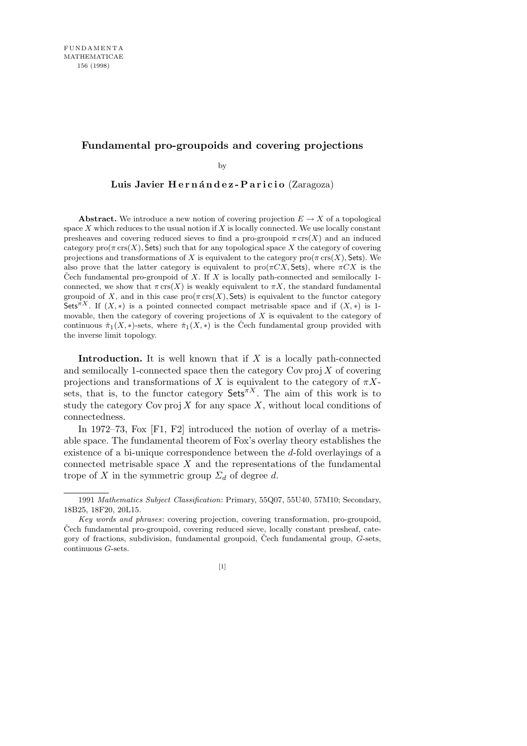## **Fundamental pro-groupoids and covering projections**

by

Luis Javier Hernández-Paricio (Zaragoza)

**Abstract.** We introduce a new notion of covering projection  $E \to X$  of a topological space *X* which reduces to the usual notion if *X* is locally connected. We use locally constant presheaves and covering reduced sieves to find a pro-groupoid  $\pi$  crs(*X*) and an induced category  $\text{pro}(\pi \text{ crs}(X), \text{Sets})$  such that for any topological space X the category of covering projections and transformations of *X* is equivalent to the category  $\text{pro}(\pi \text{ crs}(X), \text{Sets})$ . We also prove that the latter category is equivalent to  $\text{pro}(\pi CX, \text{Sets})$ , where  $\pi CX$  is the Čech fundamental pro-groupoid of  $X$ . If  $X$  is locally path-connected and semilocally 1connected, we show that  $\pi$  crs(X) is weakly equivalent to  $\pi X$ , the standard fundamental groupoid of *X*, and in this case  $\text{pro}(\pi \text{ crs}(X), \text{Sets})$  is equivalent to the functor category Sets<sup> $\pi X$ </sup>. If  $(X, *)$  is a pointed connected compact metrisable space and if  $(X, *)$  is 1movable, then the category of covering projections of *X* is equivalent to the category of continuous  $\check{\pi}_1(X,*)$ -sets, where  $\check{\pi}_1(X,*)$  is the Čech fundamental group provided with the inverse limit topology.

**Introduction.** It is well known that if *X* is a locally path-connected and semilocally 1-connected space then the category  $Cov$  proj  $\overline{X}$  of covering projections and transformations of *X* is equivalent to the category of  $\pi X$ sets, that is, to the functor category  $\mathsf{Sets}^{\pi X}$ . The aim of this work is to study the category  $Cov \text{proj } X$  for any space X, without local conditions of connectedness.

In 1972–73, Fox [F1, F2] introduced the notion of overlay of a metrisable space. The fundamental theorem of Fox's overlay theory establishes the existence of a bi-unique correspondence between the *d*-fold overlayings of a connected metrisable space *X* and the representations of the fundamental trope of *X* in the symmetric group  $\Sigma_d$  of degree *d*.

<sup>1991</sup> *Mathematics Subject Classification*: Primary, 55Q07, 55U40, 57M10; Secondary, 18B25, 18F20, 20L15.

*Key words and phrases*: covering projection, covering transformation, pro-groupoid, Čech fundamental pro-groupoid, covering reduced sieve, locally constant presheaf, category of fractions, subdivision, fundamental groupoid, Cech fundamental group, G-sets, continuous *G*-sets.

 $[1] \centering% \includegraphics[width=1\textwidth]{images/TransY.pdf}% \caption{The figure shows the results of the estimators in the left hand side. The figure shows the results of the estimators in the right hand side. The figure shows the results of the estimators in the right hand side. The figure shows the results of the parameters in the right.} \label{fig:class}$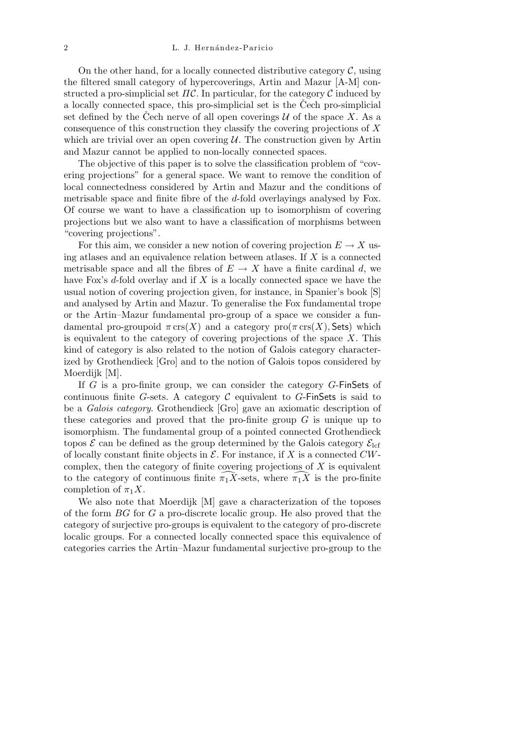On the other hand, for a locally connected distributive category  $\mathcal{C}$ , using the filtered small category of hypercoverings, Artin and Mazur [A-M] constructed a pro-simplicial set  $\Pi\mathcal{C}$ . In particular, for the category  $\mathcal{C}$  induced by a locally connected space, this pro-simplicial set is the Cech pro-simplicial set defined by the Cech nerve of all open coverings  $U$  of the space  $X$ . As a consequence of this construction they classify the covering projections of *X* which are trivial over an open covering  $U$ . The construction given by Artin and Mazur cannot be applied to non-locally connected spaces.

The objective of this paper is to solve the classification problem of "covering projections" for a general space. We want to remove the condition of local connectedness considered by Artin and Mazur and the conditions of metrisable space and finite fibre of the *d*-fold overlayings analysed by Fox. Of course we want to have a classification up to isomorphism of covering projections but we also want to have a classification of morphisms between "covering projections".

For this aim, we consider a new notion of covering projection  $E \to X$  using atlases and an equivalence relation between atlases. If *X* is a connected metrisable space and all the fibres of  $E \to X$  have a finite cardinal *d*, we have Fox's *d*-fold overlay and if *X* is a locally connected space we have the usual notion of covering projection given, for instance, in Spanier's book [S] and analysed by Artin and Mazur. To generalise the Fox fundamental trope or the Artin–Mazur fundamental pro-group of a space we consider a fundamental pro-groupoid  $\pi$  crs(*X*) and a category pro( $\pi$  crs(*X*), Sets) which is equivalent to the category of covering projections of the space *X*. This kind of category is also related to the notion of Galois category characterized by Grothendieck [Gro] and to the notion of Galois topos considered by Moerdijk [M].

If *G* is a pro-finite group, we can consider the category *G*-FinSets of continuous finite *G*-sets. A category  $C$  equivalent to *G*-FinSets is said to be a *Galois category*. Grothendieck [Gro] gave an axiomatic description of these categories and proved that the pro-finite group *G* is unique up to isomorphism. The fundamental group of a pointed connected Grothendieck topos  $\mathcal E$  can be defined as the group determined by the Galois category  $\mathcal E_{\text{left}}$ of locally constant finite objects in  $\mathcal E$ . For instance, if X is a connected  $CW$ complex, then the category of finite covering projections of *X* is equivalent to the category of continuous finite  $\pi_1 X$ -sets, where  $\pi_1 X$  is the pro-finite completion of  $\pi_1 X$ .

We also note that Moerdijk [M] gave a characterization of the toposes of the form *BG* for *G* a pro-discrete localic group. He also proved that the category of surjective pro-groups is equivalent to the category of pro-discrete localic groups. For a connected locally connected space this equivalence of categories carries the Artin–Mazur fundamental surjective pro-group to the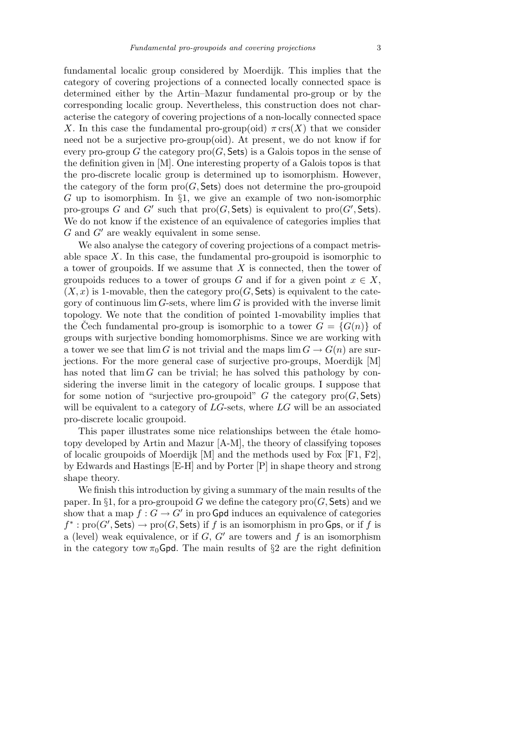fundamental localic group considered by Moerdijk. This implies that the category of covering projections of a connected locally connected space is determined either by the Artin–Mazur fundamental pro-group or by the corresponding localic group. Nevertheless, this construction does not characterise the category of covering projections of a non-locally connected space *X*. In this case the fundamental pro-group(oid)  $\pi$  crs(*X*) that we consider need not be a surjective pro-group(oid). At present, we do not know if for every pro-group *G* the category  $\text{pro}(G, \text{Sets})$  is a Galois topos in the sense of the definition given in [M]. One interesting property of a Galois topos is that the pro-discrete localic group is determined up to isomorphism. However, the category of the form  $\text{pro}(G, \mathsf{Sets})$  does not determine the pro-groupoid *G* up to isomorphism. In *§*1, we give an example of two non-isomorphic pro-groups *G* and *G<sup><i>i*</sup></sup> such that pro(*G*, Sets) is equivalent to pro(*G<sup><i>i*</sup>, Sets). We do not know if the existence of an equivalence of categories implies that  $G$  and  $G'$  are weakly equivalent in some sense.

We also analyse the category of covering projections of a compact metrisable space *X*. In this case, the fundamental pro-groupoid is isomorphic to a tower of groupoids. If we assume that *X* is connected, then the tower of groupoids reduces to a tower of groups *G* and if for a given point  $x \in X$ ,  $(X, x)$  is 1-movable, then the category  $\text{pro}(G, \mathsf{Sets})$  is equivalent to the category of continuous  $\lim G$ -sets, where  $\lim G$  is provided with the inverse limit topology. We note that the condition of pointed 1-movability implies that the Čech fundamental pro-group is isomorphic to a tower  $G = \{G(n)\}\$ groups with surjective bonding homomorphisms. Since we are working with a tower we see that  $\lim G$  is not trivial and the maps  $\lim G \to G(n)$  are surjections. For the more general case of surjective pro-groups, Moerdijk [M] has noted that  $\lim G$  can be trivial; he has solved this pathology by considering the inverse limit in the category of localic groups. I suppose that for some notion of "surjective pro-groupoid"  $G$  the category  $\text{pro}(G, \mathsf{Sets})$ will be equivalent to a category of LG-sets, where LG will be an associated pro-discrete localic groupoid.

This paper illustrates some nice relationships between the étale homotopy developed by Artin and Mazur [A-M], the theory of classifying toposes of localic groupoids of Moerdijk  $[M]$  and the methods used by Fox  $[F1, F2]$ , by Edwards and Hastings [E-H] and by Porter [P] in shape theory and strong shape theory.

We finish this introduction by giving a summary of the main results of the paper. In  $\S 1$ , for a pro-groupoid *G* we define the category  $\text{pro}(G, \text{Sets})$  and we show that a map  $f: G \to G'$  in pro Gpd induces an equivalence of categories  $f^*$ :  $\text{pro}(G', \text{Sets}) \to \text{pro}(G, \text{Sets})$  if *f* is an isomorphism in pro Gps, or if *f* is a (level) weak equivalence, or if  $G, G'$  are towers and  $f$  is an isomorphism in the category tow  $\pi_0$ Gpd. The main results of §2 are the right definition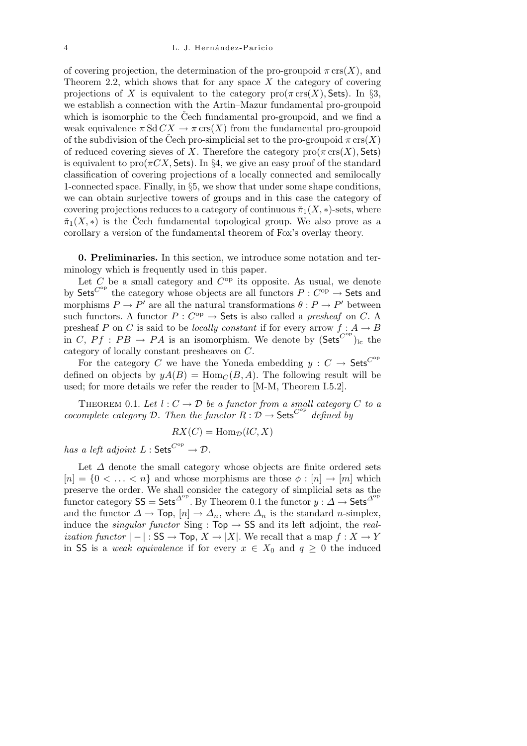of covering projection, the determination of the pro-groupoid  $\pi$  crs $(X)$ , and Theorem 2.2, which shows that for any space *X* the category of covering projections of *X* is equivalent to the category  $\text{pro}(\pi \text{ crs}(X), \text{Sets})$ . In §3, we establish a connection with the Artin–Mazur fundamental pro-groupoid which is isomorphic to the Čech fundamental pro-groupoid, and we find a weak equivalence  $\pi S d C X \rightarrow \pi c r s(X)$  from the fundamental pro-groupoid of the subdivision of the Čech pro-simplicial set to the pro-groupoid  $\pi \text{ crs}(X)$ of reduced covering sieves of *X*. Therefore the category  $\text{pro}(\pi \text{ crs}(X), \text{Sets})$ is equivalent to  $\text{pro}(\pi CX, \text{Sets})$ . In §4, we give an easy proof of the standard classification of covering projections of a locally connected and semilocally 1-connected space. Finally, in *§*5, we show that under some shape conditions, we can obtain surjective towers of groups and in this case the category of covering projections reduces to a category of continuous  $\pi_1(X, *)$ -sets, where  $\pi_1(X,*)$  is the Cech fundamental topological group. We also prove as a corollary a version of the fundamental theorem of Fox's overlay theory.

**0. Preliminaries.** In this section, we introduce some notation and terminology which is frequently used in this paper.

Let  $C$  be a small category and  $C^{op}$  its opposite. As usual, we denote by Sets<sup> $C^{op}$ </sup> the category whose objects are all functors  $P: C^{op} \rightarrow$  Sets and morphisms  $P \to P'$  are all the natural transformations  $\theta: P \to P'$  between such functors. A functor  $P: C^{op} \to$  Sets is also called a *presheaf* on *C*. A presheaf *P* on *C* is said to be *locally constant* if for every arrow  $f : A \rightarrow B$ in *C*,  $Pf : PB \rightarrow PA$  is an isomorphism. We denote by  $(Sets^{C^{op}})_{lc}$  the category of locally constant presheaves on *C*.

For the category *C* we have the Yoneda embedding  $y : C \rightarrow$  Sets<sup>*C*op</sup> defined on objects by  $yA(B) = \text{Hom}_{C}(B, A)$ . The following result will be used; for more details we refer the reader to [M-M, Theorem I.5.2].

THEOREM 0.1. Let  $l: C \to \mathcal{D}$  be a functor from a small category C to a *cocomplete category*  $D$ *. Then the functor*  $R: D \to \mathsf{Sets}^{C^{op}}$  defined by

$$
RX(C) = \text{Hom}_{\mathcal{D}}(lC, X)
$$

*has a left adjoint*  $L : \mathsf{Sets}^{C^{op}} \to \mathcal{D}$ *.* 

Let *∆* denote the small category whose objects are finite ordered sets  $[n] = \{0 \leq \ldots \leq n\}$  and whose morphisms are those  $\phi : [n] \to [m]$  which preserve the order. We shall consider the category of simplicial sets as the functor category  $SS = Sets^{\Delta^{op}}$ . By Theorem 0.1 the functor  $y : \Delta \to Sets^{\Delta^{op}}$ and the functor  $\Delta \rightarrow$  Top,  $[n] \rightarrow \Delta_n$ , where  $\Delta_n$  is the standard *n*-simplex, induce the *singular functor* Sing :  $Top \rightarrow SS$  and its left adjoint, the *realization functor*  $|-|$  : SS  $\rightarrow$  Top,  $X \rightarrow |X|$ . We recall that a map  $f : X \rightarrow Y$ in SS is a *weak equivalence* if for every  $x \in X_0$  and  $q \geq 0$  the induced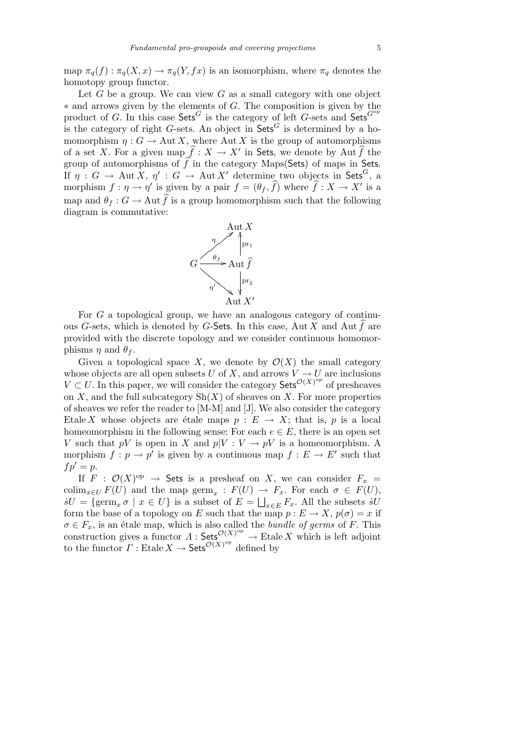map  $\pi_q(f) : \pi_q(X, x) \to \pi_q(Y, fx)$  is an isomorphism, where  $\pi_q$  denotes the homotopy group functor.

Let *G* be a group. We can view *G* as a small category with one object *∗* and arrows given by the elements of *G*. The composition is given by the product of *G*. In this case  $\mathsf{Sets}^G$  is the category of left *G*-sets and  $\mathsf{Sets}^{G^{\mathrm{op}}}$ is the category of right *G*-sets. An object in  $\mathsf{Sets}^G$  is determined by a homomorphism  $\eta: G \to \text{Aut } X$ , where Aut X is the group of automorphisms of a set *X*. For a given map  $\hat{f}: X \to X'$  in Sets, we denote by Aut  $\hat{f}$  the group of automorphisms of  $\hat{f}$  in the category Maps(Sets) of maps in Sets. If  $\eta: G \to \text{Aut } X$ ,  $\eta': G \to \text{Aut } X'$  determine two objects in Sets<sup>*G*</sup>, a morphism  $f : \eta \to \eta'$  is given by a pair  $f = (\theta_f, \hat{f})$  where  $\hat{f} : X \to X'$  is a map and  $\theta_f: G \to \text{Aut } \widehat{f}$  is a group homomorphism such that the following diagram is commutative:



For *G* a topological group, we have an analogous category of continuous *G*-sets, which is denoted by *G*-Sets. In this case, Aut  $\widetilde{X}$  and Aut  $\widehat{f}$  are provided with the discrete topology and we consider continuous homomorphisms  $\eta$  and  $\theta_f$ .

Given a topological space X, we denote by  $\mathcal{O}(X)$  the small category whose objects are all open subsets *U* of *X*, and arrows  $V \to U$  are inclusions *V* ⊂ *U*. In this paper, we will consider the category Sets<sup> $\mathcal{O}(X)$ op of presheaves</sup> on *X*, and the full subcategory  $\text{Sh}(X)$  of sheaves on *X*. For more properties of sheaves we refer the reader to [M-M] and [J]. We also consider the category Etale *X* whose objects are étale maps  $p : E \to X$ ; that is, p is a local homeomorphism in the following sense: For each  $e \in E$ , there is an open set *V* such that *pV* is open in *X* and  $p|V: V \to pV$  is a homeomorphism. A morphism  $f: p \to p'$  is given by a continuous map  $f: E \to E'$  such that  $fp' = p$ .

If  $F : \mathcal{O}(X)$ <sup>op</sup>  $\rightarrow$  Sets is a presheaf on *X*, we can consider  $F_x =$  $\text{colim}_{x \in U} F(U)$  and the map  $\text{germ}_x : F(U) \to F_x$ . For each  $\sigma \in F(U)$ ,  $sU = \{\text{germ}_x \sigma \mid x \in U\}$  is a subset of  $E =$  $\overline{\phantom{a}}$  $x ∈ E$  *F*<sub>*x*</sub>. All the subsets *sU* form the base of a topology on *E* such that the map  $p: E \to X$ ,  $p(\sigma) = x$  if  $\sigma \in F_x$ , is an étale map, which is also called the *bundle of germs* of *F*. This construction gives a functor  $\Lambda$ : Sets<sup> $\mathcal{O}(X)_{\text{op}}$ </sup>  $\to$  Etale *X* which is left adjoint to the functor  $\Gamma$ : Etale  $X \to$  Sets<sup> $\mathcal{O}(X)$ op</sup> defined by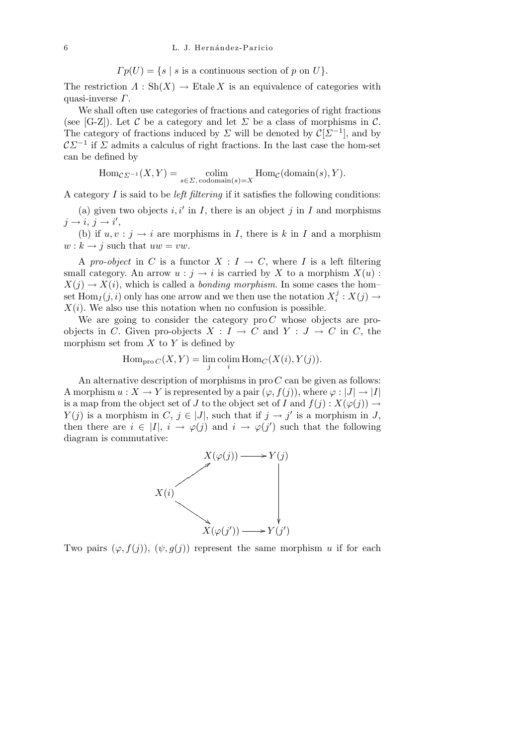$$
\Gamma p(U) = \{ s \mid s \text{ is a continuous section of } p \text{ on } U \}.
$$

The restriction  $\Lambda : Sh(X) \to Etale X$  is an equivalence of categories with quasi-inverse *Γ*.

We shall often use categories of fractions and categories of right fractions (see [G-Z]). Let  $\mathcal C$  be a category and let  $\Sigma$  be a class of morphisms in  $\mathcal C$ . The category of fractions induced by  $\Sigma$  will be denoted by  $\mathcal{C}[\Sigma^{-1}]$ , and by  $\mathcal{C}\mathcal{L}^{-1}$  if *Σ* admits a calculus of right fractions. In the last case the hom-set can be defined by

$$
\mathrm{Hom}_{\mathcal{C}\varSigma^{-1}}(X,Y)=\underset{s\in \varSigma,\, \mathrm{codomain}(s)=X}{\mathrm{colim}}\mathrm{Hom}_{\mathcal{C}}(\mathrm{domain}(s),Y).
$$

A category *I* is said to be *left filtering* if it satisfies the following conditions:

(a) given two objects  $i, i'$  in  $I$ , there is an object  $j$  in  $I$  and morphisms  $j \rightarrow i, j \rightarrow i',$ 

(b) if  $u, v : j \rightarrow i$  are morphisms in *I*, there is *k* in *I* and a morphism  $w : k \to j$  such that  $uw = vw$ .

A *pro-object* in *C* is a functor  $X: I \to C$ , where *I* is a left filtering small category. An arrow  $u : j \to i$  is carried by X to a morphism  $X(u)$ :  $X(j) \rightarrow X(i)$ , which is called a *bonding morphism*. In some cases the hom– set  $\text{Hom}_I(j, i)$  only has one arrow and we then use the notation  $X_i^j$  $i$ <sup>*j*</sup> :  $X(j) \rightarrow$  $X(i)$ . We also use this notation when no confusion is possible.

We are going to consider the category pro *C* whose objects are proobjects in *C*. Given pro-objects  $X : I \to C$  and  $Y : J \to C$  in *C*, the morphism set from *X* to *Y* is defined by

$$
\operatorname{Hom}_{\text{pro }C}(X,Y) = \lim_{j} \operatorname{colim}_{i} \operatorname{Hom}_{C}(X(i),Y(j)).
$$

An alternative description of morphisms in pro *C* can be given as follows: A morphism  $u: X \to Y$  is represented by a pair  $(\varphi, f(j))$ , where  $\varphi: |J| \to |I|$ is a map from the object set of *J* to the object set of *I* and  $f(i): X(\varphi(i)) \to$ *Y*(*j*) is a morphism in *C*, *j*  $\in$  |*J*|, such that if *j*  $\rightarrow$  *j*' is a morphism in *J*, then there are  $i \in |I|$ ,  $i \to \varphi(j)$  and  $i \to \varphi(j')$  such that the following diagram is commutative:



Two pairs  $(\varphi, f(j))$ ,  $(\psi, g(j))$  represent the same morphism *u* if for each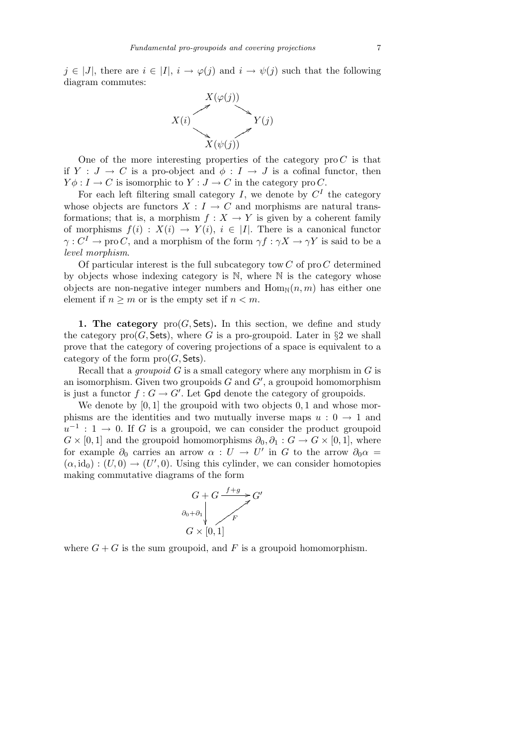*j* ∈ |*J*|, there are  $i \in |I|$ ,  $i \to \varphi(j)$  and  $i \to \psi(j)$  such that the following diagram commutes:



One of the more interesting properties of the category  $\text{pro } C$  is that if  $Y : J \to C$  is a pro-object and  $\phi : I \to J$  is a cofinal functor, then  $Y \phi : I \to C$  is isomorphic to  $Y : J \to C$  in the category pro *C*.

For each left filtering small category  $I$ , we denote by  $C<sup>I</sup>$  the category whose objects are functors  $X: I \to C$  and morphisms are natural transformations; that is, a morphism  $f: X \to Y$  is given by a coherent family of morphisms  $f(i) : X(i) \rightarrow Y(i)$ ,  $i \in |I|$ . There is a canonical functor *γ* :  $C^I \to \text{pro } C$ , and a morphism of the form  $\gamma f : \gamma X \to \gamma Y$  is said to be a *level morphism*.

Of particular interest is the full subcategory tow *C* of pro *C* determined by objects whose indexing category is N, where N is the category whose objects are non-negative integer numbers and  $\text{Hom}_{\mathbb{N}}(n,m)$  has either one element if  $n \geq m$  or is the empty set if  $n < m$ .

**1. The category**  $\text{pro}(G, \text{Sets})$ . In this section, we define and study the category  $\text{pro}(G, \text{Sets})$ , where G is a pro-groupoid. Later in §2 we shall prove that the category of covering projections of a space is equivalent to a category of the form  $\text{pro}(G, \mathsf{Sets})$ .

Recall that a *groupoid G* is a small category where any morphism in *G* is an isomorphism. Given two groupoids  $G$  and  $G'$ , a groupoid homomorphism is just a functor  $f: G \to G'$ . Let Gpd denote the category of groupoids.

We denote by [0*,* 1] the groupoid with two objects 0*,* 1 and whose morphisms are the identities and two mutually inverse maps  $u: 0 \rightarrow 1$  and  $u^{-1}$  : 1 → 0. If *G* is a groupoid, we can consider the product groupoid  $G \times [0, 1]$  and the groupoid homomorphisms  $\partial_0, \partial_1 : G \to G \times [0, 1]$ , where for example  $\partial_0$  carries an arrow  $\alpha : U \to U'$  in *G* to the arrow  $\partial_0 \alpha =$  $(\alpha, id_0) : (U, 0) \to (U', 0)$ . Using this cylinder, we can consider homotopies making commutative diagrams of the form



where  $G + G$  is the sum groupoid, and F is a groupoid homomorphism.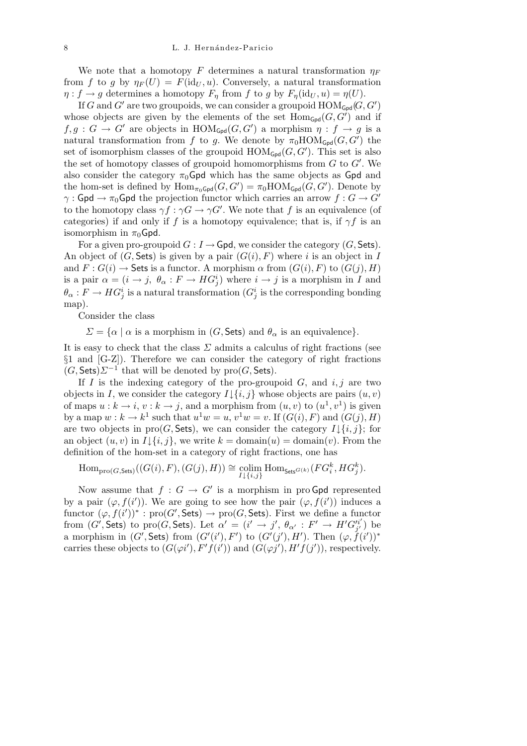We note that a homotopy *F* determines a natural transformation  $\eta_F$ from *f* to *g* by  $\eta_F(U) = F(\text{id}_U, u)$ . Conversely, a natural transformation  $\eta: f \to g$  determines a homotopy  $F_n$  from  $f$  to  $g$  by  $F_n(\mathrm{id}_U, u) = \eta(U)$ .

If *G* and *G<sup><sup><i>i*</sup></sup> are two groupoids, we can consider a groupoid  $\text{HOM}_{\text{Gpd}}(G, G^{\prime})$ whose objects are given by the elements of the set  $Hom_{Gpd}(G, G')$  and if  $f, g : G \to G'$  are objects in  $\text{HOM}_{\text{Gpd}}(G, G')$  a morphism  $\eta : f \to g$  is a natural transformation from *f* to *g*. We denote by  $\pi_0 \text{HOM}_{\text{Gpd}}(G, G')$  the set of isomorphism classes of the groupoid  $\text{HOM}_{\text{Gpd}}(G, G')$ . This set is also the set of homotopy classes of groupoid homomorphisms from  $G$  to  $G'$ . We also consider the category  $\pi_0$ Gpd which has the same objects as Gpd and the hom-set is defined by  $\text{Hom}_{\pi_0 \text{Gpd}}(G, G') = \pi_0 \text{HOM}_{\text{Gpd}}(G, G')$ . Denote by *γ* : Gpd  $\rightarrow \pi_0$ Gpd the projection functor which carries an arrow  $f : G \rightarrow G'$ to the homotopy class  $\gamma f : \gamma G \to \gamma G'$ . We note that f is an equivalence (of categories) if and only if *f* is a homotopy equivalence; that is, if  $\gamma f$  is an isomorphism in  $\pi_0$ Gpd.

For a given pro-groupoid  $G: I \to \mathsf{Gpd}$ , we consider the category  $(G, \mathsf{Sets})$ . An object of  $(G, \text{Sets})$  is given by a pair  $(G(i), F)$  where *i* is an object in *I* and  $F: G(i) \to$  Sets is a functor. A morphism  $\alpha$  from  $(G(i), F)$  to  $(G(j), H)$ is a pair  $\alpha = (i \to j, \theta_\alpha : F \to HG^i_j)$  where  $i \to j$  is a morphism in *I* and  $\theta_{\alpha}: F \to HG^i_j$  is a natural transformation  $(G^i_j \text{ is the corresponding bonding})$ map).

Consider the class

 $\Sigma = {\alpha | \alpha$  is a morphism in (*G*, Sets) and  $\theta_{\alpha}$  is an equivalence}*.* 

It is easy to check that the class *Σ* admits a calculus of right fractions (see *§*1 and [G-Z]). Therefore we can consider the category of right fractions  $(G, \text{Sets})\Sigma^{-1}$  that will be denoted by  $\text{pro}(G, \text{Sets})$ .

If *I* is the indexing category of the pro-groupoid  $G$ , and  $i, j$  are two objects in *I*, we consider the category  $I \downarrow \{i, j\}$  whose objects are pairs  $(u, v)$ of maps  $u : k \to i$ ,  $v : k \to j$ , and a morphism from  $(u, v)$  to  $(u^1, v^1)$  is given by a map  $w : k \to k^1$  such that  $u^1w = u$ ,  $v^1w = v$ . If  $(G(i), F)$  and  $(G(j), H)$ are two objects in pro $(G, \text{Sets})$ , we can consider the category  $I \downarrow \{i, j\}$ ; for an object  $(u, v)$  in  $I \downarrow \{i, j\}$ , we write  $k = \text{domain}(u) = \text{domain}(v)$ . From the definition of the hom-set in a category of right fractions, one has

$$
\mathrm{Hom}_{\mathrm{pro}(G,\mathsf{Sets})}((G(i),F),(G(j),H))\cong \underset{I\downarrow\{i,j\}}{\mathrm{colim}}\ \mathrm{Hom}_{\mathsf{Sets}^{G(k)}}(FG_i^k,HG_j^k).
$$

Now assume that  $f : G \to G'$  is a morphism in pro Gpd represented by a pair  $(\varphi, f(i'))$ . We are going to see how the pair  $(\varphi, f(i'))$  induces a functor  $(\varphi, f(i'))^* : \text{pro}(G', \text{Sets}) \to \text{pro}(G, \text{Sets})$ . First we define a functor from  $(G',\mathsf{Sets})$  to pro $(G,\mathsf{Sets})$ . Let  $\alpha' = (i' \rightarrow j', \theta_{\alpha'} : F' \rightarrow H'G_{i'}^{i'}$  $j'$ ) be a morphism in  $(G', Sets)$  from  $(G'(i'), F')$  to  $(G'(j'), H')$ . Then  $(\varphi, f(i'))^*$ carries these objects to  $(G(\varphi i'), F'f(i'))$  and  $(G(\varphi j'), H'f(j'))$ , respectively.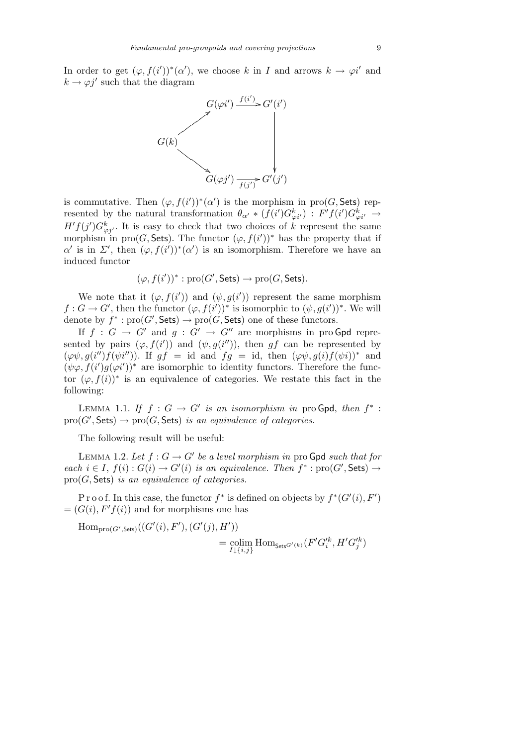In order to get  $(\varphi, f(i'))^*(\alpha')$ , we choose *k* in *I* and arrows  $k \to \varphi i'$  and  $k \rightarrow \varphi j'$  such that the diagram



is commutative. Then  $(\varphi, f(i'))^*(\alpha')$  is the morphism in pro(*G*, Sets) represented by the natural transformation  $\theta_{\alpha'} * (f(i')G_{\varphi i'}^k) : F'f(i')G_{\varphi i'}^k \to$  $H'f(j')G_{\varphi j'}^k$ . It is easy to check that two choices of *k* represent the same morphism in pro(*G*, Sets). The functor  $(\varphi, f(i'))^*$  has the property that if *α*is in *Σ*<sup>*i*</sup>, then  $(φ, f(i'))*(α')$  is an isomorphism. Therefore we have an induced functor

$$
(\varphi, f(i'))^* : \text{pro}(G', \text{Sets}) \to \text{pro}(G, \text{Sets}).
$$

We note that it  $(\varphi, f(i'))$  and  $(\psi, g(i'))$  represent the same morphism  $f: G \to G'$ , then the functor  $(\varphi, f(i'))^*$  is isomorphic to  $(\psi, g(i'))^*$ . We will denote by  $f^*$ :  $\text{pro}(G', \text{Sets}) \to \text{pro}(G, \text{Sets})$  one of these functors.

If  $f : G \to G'$  and  $g : G' \to G''$  are morphisms in pro Gpd represented by pairs  $(\varphi, f(i'))$  and  $(\psi, g(i''))$ , then *gf* can be represented by  $(\varphi \psi, g(i'')f(\psi i''))$ . If  $gf = id$  and  $fg = id$ , then  $(\varphi \psi, g(i)f(\psi i))^*$  and  $(\psi \varphi, f(i')g(\varphi i'))^*$  are isomorphic to identity functors. Therefore the functor  $(\varphi, f(i))^*$  is an equivalence of categories. We restate this fact in the following:

LEMMA 1.1. *If*  $f : G \to G'$  *is an isomorphism in* pro Gpd, *then*  $f^*$ :  $\text{pro}(G', \textsf{Sets}) \rightarrow \text{pro}(G, \textsf{Sets})$  *is an equivalence of categories.* 

The following result will be useful:

LEMMA 1.2. Let  $f: G \to G'$  be a level morphism in pro Gpd such that for  $\phi$  *each*  $i \in I$ ,  $f(i): G(i) \to G'(i)$  *is an equivalence. Then*  $f^* : \text{pro}(G', \text{Sets}) \to G'(i)$ pro(*G,* Sets) *is an equivalence of categories.*

Proof. In this case, the functor  $f^*$  is defined on objects by  $f^*(G'(i), F')$  $=(G(i), F'f(i))$  and for morphisms one has

 $\text{Hom}_{\text{pro}(G',\text{Sets})}((G'(i), F'), (G'(j), H'))$ 

$$
=\operatornamewithlimits{colim}_{I\downarrow\{i,j\}}\operatorname{Hom}_{\mathsf{Sets}^{G'(k)}}(F'G'^k_i,H'G'^k_j)
$$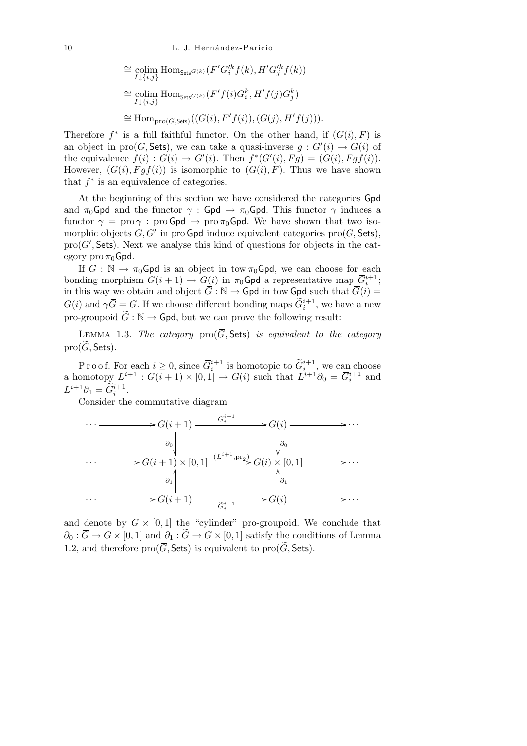$$
\cong \underset{I \downarrow \{i,j\}}{\text{colim Hom}} \text{Hom}_{\mathsf{Sets}^{G(k)}}(F'G_i'^k f(k), H'G_j'^k f(k))
$$
  

$$
\cong \underset{I \downarrow \{i,j\}}{\text{colim Hom}} \text{Hom}_{\mathsf{Sets}^{G(k)}}(F' f(i)G_i^k, H' f(j)G_j^k)
$$
  

$$
\cong \text{Hom}_{\text{pro}(G, \mathsf{Sets})}((G(i), F' f(i)), (G(j), H' f(j))).
$$

Therefore  $f^*$  is a full faithful functor. On the other hand, if  $(G(i), F)$  is an object in pro(*G*, Sets), we can take a quasi-inverse  $g: G'(i) \to G(i)$  of the equivalence  $f(i) : G(i) \to G'(i)$ . Then  $f^*(G'(i), Fg) = (G(i), Fgf(i))$ . However,  $(G(i), Fgf(i))$  is isomorphic to  $(G(i), F)$ . Thus we have shown that  $f^*$  is an equivalence of categories.

At the beginning of this section we have considered the categories Gpd and  $\pi_0$ Gpd and the functor  $\gamma$ : Gpd  $\rightarrow \pi_0$ Gpd. This functor  $\gamma$  induces a functor  $\gamma = \text{proj} \cdot \text{proj} \cdot \text{proj} \cdot \text{proj} \cdot \text{proj} \cdot \text{proj} \cdot \text{proj} \cdot \text{proj} \cdot \text{proj} \cdot \text{proj} \cdot \text{proj} \cdot \text{proj} \cdot \text{proj} \cdot \text{proj} \cdot \text{proj} \cdot \text{proj} \cdot \text{proj} \cdot \text{proj} \cdot \text{proj} \cdot \text{proj} \cdot \text{proj} \cdot \text{proj} \cdot \text{proj} \cdot \text{proj} \cdot \text{proj} \cdot \text{proj} \cdot \text{proj} \cdot \text{proj} \cdot \text{proj} \cdot \text{proj} \$ morphic objects  $G, G'$  in pro Gpd induce equivalent categories pro $(G, \text{Sets})$ ,  $\text{pro}(G', \mathsf{Sets})$ . Next we analyse this kind of questions for objects in the category pro  $\pi_0$ Gpd.

If  $G : \mathbb{N} \to \pi_0$  Gpd is an object in tow  $\pi_0$  Gpd, we can choose for each bonding morphism  $G(i + 1) \rightarrow G(i)$  in  $\pi_0$ Gpd a representative map  $\overline{G}_i^{i+1}$ ; in this way we obtain and object  $G : \mathbb{N} \to \mathsf{Gpd}$  in tow  $\mathsf{Gpd}$  such that  $G(i) =$  $G(i)$  and  $\gamma \overline{G} = G$ . If we choose different bonding maps  $\widetilde{G}_i^{i+1}$ , we have a new pro-groupoid  $\tilde{G}: \mathbb{N} \to \mathsf{Gpd}$ , but we can prove the following result:

LEMMA 1.3. The category  $\text{pro}(\overline{G},\mathsf{Sets})$  is equivalent to the category  $pro(\widetilde{G}, \mathsf{Sets})$ .

P r o o f. For each  $i \geq 0$ , since  $\overline{G}_i^{i+1}$  is homotopic to  $\widetilde{G}_i^{i+1}$ , we can choose a homotopy  $L^{i+1}$  :  $G(i+1) \times [0,1] \rightarrow G(i)$  such that  $L^{i+1} \partial_0 = \overline{G}_i^{i+1}$  and  $L^{i+1}\partial_1 = \widetilde{G}_i^{i+1}.$ 

Consider the commutative diagram

$$
\cdots \longrightarrow G(i+1) \longrightarrow G^{i+1} \longrightarrow G(i) \longrightarrow \cdots
$$
  
\n
$$
\downarrow \phi_0
$$
  
\n
$$
\cdots \longrightarrow G(i+1) \times [0,1] \xrightarrow{(L^{i+1},pr_2)} G(i) \times [0,1] \longrightarrow \cdots
$$
  
\n
$$
\downarrow \phi_1
$$
  
\n
$$
\cdots \longrightarrow G(i+1) \longrightarrow \widetilde{G}^{i+1} \longrightarrow G(i) \longrightarrow \cdots
$$

and denote by  $G \times [0,1]$  the "cylinder" pro-groupoid. We conclude that  $\partial_0 : \overline{G} \to G \times [0,1]$  and  $\partial_1 : \widetilde{G} \to G \times [0,1]$  satisfy the conditions of Lemma 1.2, and therefore  $\text{pro}(\overline{G}, \overline{\text{Sets}})$  is equivalent to  $\text{pro}(\widetilde{G}, \overline{\text{Sets}})$ .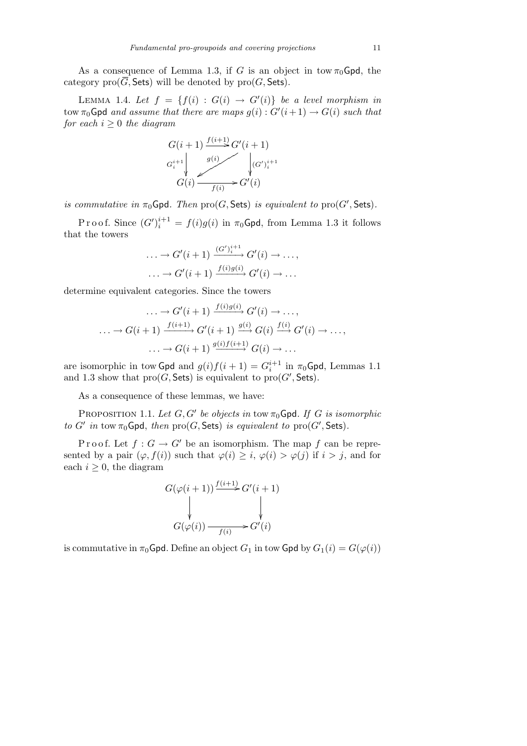As a consequence of Lemma 1.3, if *G* is an object in tow  $\pi_0$ Gpd, the category  $\text{pro}(\overline{G}, \mathsf{Sets})$  will be denoted by  $\text{pro}(G, \mathsf{Sets})$ .

LEMMA 1.4. Let  $f = \{f(i) : G(i) \rightarrow G'(i)\}$  be a level morphism in  $\text{row } \pi_0 \text{Gpd}$  *and assume that there are maps*  $g(i) : G'(i+1) \to G(i)$  *such that for each*  $i \geq 0$  *the diagram* 

$$
G(i+1) \xrightarrow{f(i+1)} G'(i+1)
$$
  
\n
$$
G_i^{i+1} \downarrow \qquad g(i)
$$
  
\n
$$
G(i) \xrightarrow{f(i)} G'(i)
$$

*is commutative in*  $\pi_0$ Gpd*. Then*  $\text{pro}(G, \text{Sets})$  *is equivalent to*  $\text{pro}(G', \text{Sets})$ *.* 

Proof. Since  $(G')_i^{i+1} = f(i)g(i)$  in  $\pi_0$ Gpd, from Lemma 1.3 it follows that the towers

$$
\dots \to G'(i+1) \xrightarrow{(G')_i^{i+1}} G'(i) \to \dots,
$$
  

$$
\dots \to G'(i+1) \xrightarrow{f(i)g(i)} G'(i) \to \dots
$$

determine equivalent categories. Since the towers

$$
\cdots \to G'(i+1) \xrightarrow{f(i)g(i)} G'(i) \to \cdots,
$$
  

$$
\cdots \to G(i+1) \xrightarrow{f(i+1)} G'(i+1) \xrightarrow{g(i)} G(i) \xrightarrow{f(i)} G'(i) \to \cdots,
$$
  

$$
\cdots \to G(i+1) \xrightarrow{g(i)f(i+1)} G(i) \to \cdots
$$

are isomorphic in tow Gpd and  $g(i)f(i + 1) = G_i^{i+1}$  in  $\pi_0$ Gpd, Lemmas 1.1 and 1.3 show that  $\text{pro}(G, \text{Sets})$  is equivalent to  $\text{pro}(G', \text{Sets})$ .

As a consequence of these lemmas, we have:

PROPOSITION 1.1. Let  $G, G'$  be objects in tow  $\pi_0$ Gpd. If G is isomorphic *to G' in* tow  $\pi_0$ Gpd, *then*  $\text{pro}(G, \text{Sets})$  *is equivalent to*  $\text{pro}(G', \text{Sets})$ *.* 

P r o o f. Let  $f: G \to G'$  be an isomorphism. The map f can be represented by a pair  $(\varphi, f(i))$  such that  $\varphi(i) \geq i$ ,  $\varphi(i) > \varphi(j)$  if  $i > j$ , and for each  $i \geq 0$ , the diagram

$$
G(\varphi(i+1)) \xrightarrow{f(i+1)} G'(i+1)
$$
  
\n
$$
\downarrow \qquad \qquad \downarrow
$$
  
\n
$$
G(\varphi(i)) \xrightarrow{f(i)} G'(i)
$$

is commutative in  $\pi_0$ Gpd. Define an object  $G_1$  in tow Gpd by  $G_1(i) = G(\varphi(i))$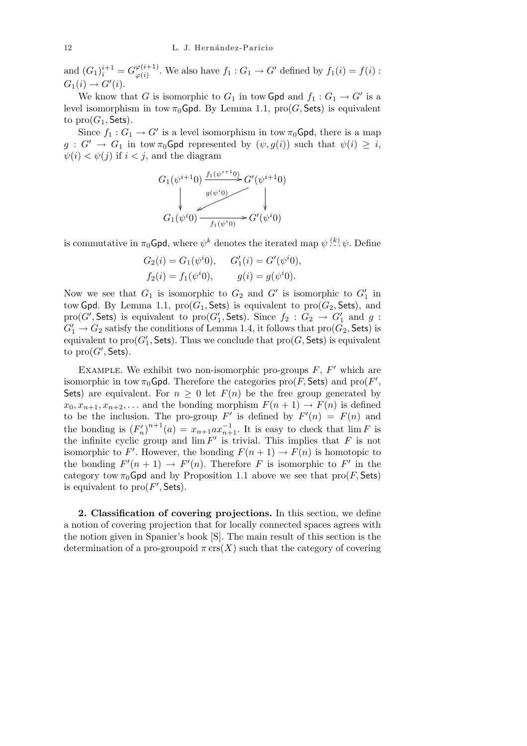and  $(G_1)^{i+1}_{i} = G^{\varphi(i+1)}_{\varphi(i)}$  $\varphi_{(i)}^{(i+1)}$ . We also have  $f_1: G_1 \to G'$  defined by  $f_1(i) = f(i)$ :  $G_1(i) \to G'(i).$ 

We know that *G* is isomorphic to  $G_1$  in tow Gpd and  $f_1: G_1 \to G'$  is a level isomorphism in tow  $\pi_0$ Gpd. By Lemma 1.1, pro(*G*, Sets) is equivalent to  $\text{pro}(G_1, \text{Sets})$ .

Since  $f_1: G_1 \to G'$  is a level isomorphism in tow  $\pi_0$ Gpd, there is a map  $g: G' \to G_1$  in tow  $\pi_0$ Gpd represented by  $(\psi, g(i))$  such that  $\psi(i) \geq i$ ,  $\psi(i) < \psi(j)$  if  $i < j$ , and the diagram

$$
G_1(\psi^{i+1}0) \xrightarrow{f_1(\psi^{i+1}0)} G'(\psi^{i+1}0)
$$
\n
$$
\downarrow G_1(\psi^i0) \xrightarrow{g(\psi^i0)} G'(\psi^i0)
$$

is commutative in  $\pi_0$ Gpd, where  $\psi^k$  denotes the iterated map  $\psi$  <sup>(k</sup>).  $\psi$ . Define

$$
G_2(i) = G_1(\psi^i 0), \quad G'_1(i) = G'(\psi^i 0),
$$
  
\n
$$
f_2(i) = f_1(\psi^i 0), \quad g(i) = g(\psi^i 0).
$$

Now we see that  $G_1$  is isomorphic to  $G_2$  and  $G'$  is isomorphic to  $G'_1$  in tow Gpd. By Lemma 1.1,  $\text{pro}(G_1, \text{Sets})$  is equivalent to  $\text{pro}(G_2, \text{Sets})$ , and  $\text{pro}(G', \mathsf{Sets})$  is equivalent to  $\text{pro}(G'_1, \mathsf{Sets})$ . Since  $f_2: G_2 \to G'_1$  and  $g:$  $G'_{1} \rightarrow G_{2}$  satisfy the conditions of Lemma 1.4, it follows that  $\text{pro}(G_{2}, \mathsf{Sets})$  is equivalent to  $\text{pro}(G'_{1}, \textsf{Sets})$ . Thus we conclude that  $\text{pro}(G, \textsf{Sets})$  is equivalent to  $\text{pro}(G',\mathsf{Sets}).$ 

EXAMPLE. We exhibit two non-isomorphic pro-groups  $F$ ,  $F'$  which are isomorphic in tow  $\pi_0$ Gpd. Therefore the categories  $\text{pro}(F, \text{Sets})$  and  $\text{pro}(F', \text{Sets})$ Sets) are equivalent. For  $n \geq 0$  let  $F(n)$  be the free group generated by  $x_0, x_{n+1}, x_{n+2}, \ldots$  and the bonding morphism  $F(n+1) \rightarrow F(n)$  is defined to be the inclusion. The pro-group  $F'$  is defined by  $F'(n) = F(n)$  and the bonding is  $(F'_n)^{n+1}(a) = x_{n+1}ax_{n+1}^{-1}$ . It is easy to check that  $\lim F$  is the infinite cyclic group and  $\lim F'$  is trivial. This implies that  $F$  is not isomorphic to *F'*. However, the bonding  $F(n+1) \to F(n)$  is homotopic to the bonding  $F'(n+1) \to F'(n)$ . Therefore *F* is isomorphic to *F'* in the category tow  $\pi_0$ Gpd and by Proposition 1.1 above we see that  $\text{pro}(F, \text{Sets})$ is equivalent to  $\text{pro}(F', \textsf{Sets})$ .

**2. Classification of covering projections.** In this section, we define a notion of covering projection that for locally connected spaces agrees with the notion given in Spanier's book [S]. The main result of this section is the determination of a pro-groupoid  $\pi$  crs(X) such that the category of covering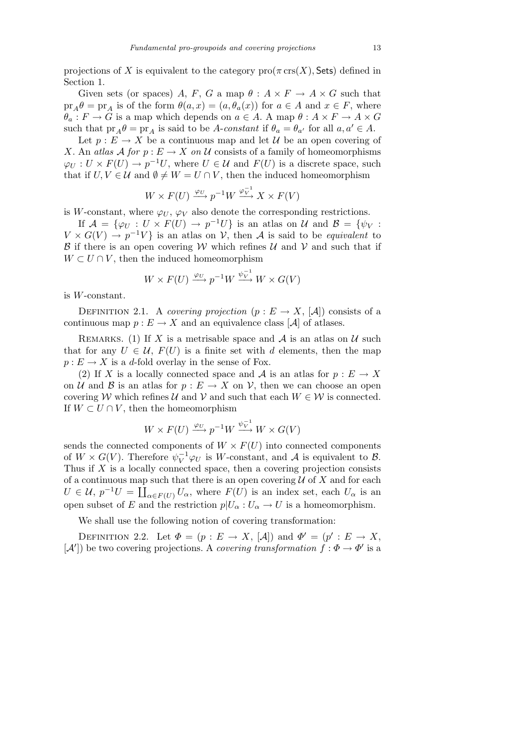projections of *X* is equivalent to the category  $\text{pro}(\pi \text{ crs}(X), \text{Sets})$  defined in Section 1.

Given sets (or spaces) *A*, *F*, *G* a map  $\theta$  :  $A \times F \rightarrow A \times G$  such that  $pr_A \theta = pr_A$  is of the form  $\theta(a, x) = (a, \theta_a(x))$  for  $a \in A$  and  $x \in F$ , where  $\theta_a: F \to G$  is a map which depends on  $a \in A$ . A map  $\theta: A \times F \to A \times G$ such that  $pr_A\theta = pr_A$  is said to be *A*-*constant* if  $\theta_a = \theta_{a'}$  for all  $a, a' \in A$ .

Let  $p: E \to X$  be a continuous map and let  $\mathcal U$  be an open covering of *X*. An *atlas*  $\mathcal A$  *for*  $p : E \to X$  *on*  $\mathcal U$  consists of a family of homeomorphisms  $\varphi_U: U \times F(U) \to p^{-1}U$ , where  $U \in \mathcal{U}$  and  $F(U)$  is a discrete space, such that if  $U, V \in \mathcal{U}$  and  $\emptyset \neq W = U \cap V$ , then the induced homeomorphism

$$
W \times F(U) \xrightarrow{\varphi_U} p^{-1}W \xrightarrow{\varphi_V^{-1}} X \times F(V)
$$

is *W*-constant, where  $\varphi_U$ ,  $\varphi_V$  also denote the corresponding restrictions.

If  $\mathcal{A} = {\varphi_U : U \times F(U) \rightarrow p^{-1}U}$  is an atlas on *U* and  $\mathcal{B} = {\varphi_V : Y \times F(U) \rightarrow F(V)}$  $V \times G(V) \rightarrow p^{-1}V$  is an atlas on *V*, then *A* is said to be *equivalent* to *B* if there is an open covering *W* which refines *U* and *V* and such that if  $W \subset U \cap V$ , then the induced homeomorphism

$$
W \times F(U) \xrightarrow{\varphi_U} p^{-1}W \xrightarrow{\psi_V^{-1}} W \times G(V)
$$

is *W*-constant.

DEFINITION 2.1. A *covering projection*  $(p: E \to X, |\mathcal{A}|)$  consists of a continuous map  $p: E \to X$  and an equivalence class [A] of atlases.

REMARKS. (1) If *X* is a metrisable space and  $A$  is an atlas on  $U$  such that for any  $U \in \mathcal{U}$ ,  $F(U)$  is a finite set with *d* elements, then the map  $p: E \to X$  is a *d*-fold overlay in the sense of Fox.

(2) If *X* is a locally connected space and *A* is an atlas for  $p : E \to X$ on *U* and *B* is an atlas for  $p: E \to X$  on *V*, then we can choose an open covering *W* which refines *U* and *V* and such that each  $W \in \mathcal{W}$  is connected. If  $W ⊂ U ∩ V$ , then the homeomorphism

$$
W \times F(U) \xrightarrow{\varphi_U} p^{-1}W \xrightarrow{\psi_V^{-1}} W \times G(V)
$$

sends the connected components of  $W \times F(U)$  into connected components of  $W \times G(V)$ . Therefore  $\psi_V^{-1} \varphi_U$  is W-constant, and A is equivalent to B. Thus if *X* is a locally connected space, then a covering projection consists of a continuous map such that there is an open covering  $U$  of  $X$  and for each  $U \in \mathcal{U}, p^{-1}U = \coprod_{\alpha \in F(U)} U_{\alpha}, \text{ where } F(U) \text{ is an index set, each } U_{\alpha} \text{ is an integer.}$ open subset of *E* and the restriction  $p|U_{\alpha}: U_{\alpha} \to U$  is a homeomorphism.

We shall use the following notion of covering transformation:

DEFINITION 2.2. Let  $\Phi = (p : E \to X, [\mathcal{A}])$  and  $\Phi' = (p' : E \to X,$  $[A']$ ) be two covering projections. A *covering transformation*  $f : \Phi \to \Phi'$  is a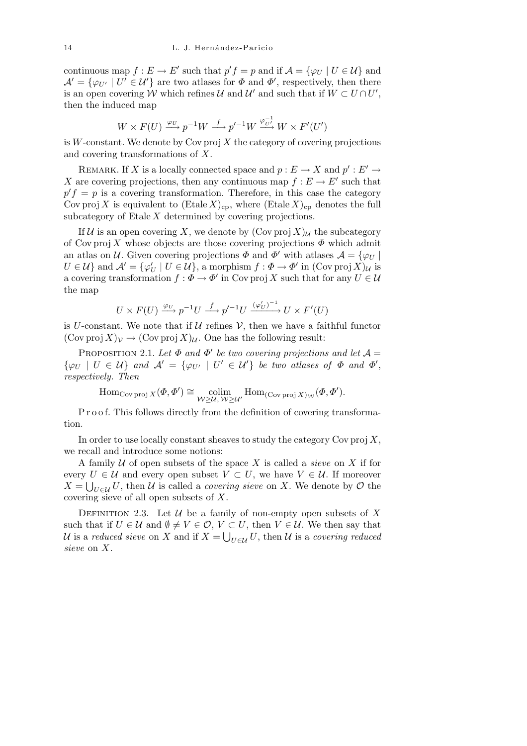continuous map  $f: E \to E'$  such that  $p'f = p$  and if  $\mathcal{A} = \{\varphi_U \mid U \in \mathcal{U}\}\$ and  $\mathcal{A}' = {\varphi_{U'}} \mid U' \in \mathcal{U}'$  are two atlases for  $\Phi$  and  $\Phi'$ , respectively, then there is an open covering *W* which refines *U* and *U'* and such that if  $W \subset U \cap U'$ , then the induced map

$$
W \times F(U) \xrightarrow{\varphi_U} p^{-1}W \xrightarrow{f} p'^{-1}W \xrightarrow{\varphi_{U'}^{-1}} W \times F'(U')
$$

is  $W$ -constant. We denote by Cov proj  $X$  the category of covering projections and covering transformations of *X*.

REMARK. If *X* is a locally connected space and  $p : E \to X$  and  $p' : E' \to Y$ *X* are covering projections, then any continuous map  $f : E \to E'$  such that  $p'f = p$  is a covering transformation. Therefore, in this case the category Cov proj X is equivalent to  $(Etale X)_{cp}$ , where  $(Etale X)_{cp}$  denotes the full subcategory of Etale *X* determined by covering projections.

If *U* is an open covering *X*, we denote by  $(\text{Cov proj } X)_U$  the subcategory of Cov proj *X* whose objects are those covering projections *Φ* which admit an atlas on *U*. Given covering projections  $\Phi$  and  $\Phi'$  with atlases  $\mathcal{A} = \{\varphi_U \mid$  $U \in \mathcal{U}$ } and  $\mathcal{A}' = {\varphi'_U \mid U \in \mathcal{U}}$ , a morphism  $f : \Phi \to \Phi'$  in  $(\text{Cov } \text{proj } X)_{\mathcal{U}}$  is a covering transformation  $f: \Phi \to \Phi'$  in Cov proj X such that for any  $U \in \mathcal{U}$ the map

$$
U \times F(U) \xrightarrow{\varphi_U} p^{-1}U \xrightarrow{f} p'^{-1}U \xrightarrow{(\varphi'_U)^{-1}} U \times F'(U)
$$

is *U*-constant. We note that if  $U$  refines  $V$ , then we have a faithful functor  $(\text{Cov proj } X)_\mathcal{V} \to (\text{Cov proj } X)_\mathcal{U}$ . One has the following result:

PROPOSITION 2.1. Let  $\Phi$  and  $\Phi'$  be two covering projections and let  $\mathcal{A} =$  $\{\varphi_U \mid U \in \mathcal{U}\}\$ and  $\mathcal{A}' = \{\varphi_{U'} \mid U' \in \mathcal{U}'\}\$ be two atlases of  $\Phi$  and  $\Phi'$ , *respectively. Then*

$$
\mathrm{Hom}_{\mathrm{Cov\,proj}\,X}(\varPhi,\varPhi') \cong \underset{\mathcal{W}\geq\mathcal{U},\,\mathcal{W}\geq\mathcal{U}'}{\mathrm{colim}} \mathrm{Hom}_{(\mathrm{Cov\,proj}\,X)_{\mathcal{W}}}(\varPhi,\varPhi').
$$

P r o o f. This follows directly from the definition of covering transformation.

In order to use locally constant sheaves to study the category Cov proj *X*, we recall and introduce some notions:

A family *U* of open subsets of the space *X* is called a *sieve* on *X* if for every  $U \in \mathcal{U}$  and every open subset  $V \subset U$ , we have  $V \in \mathcal{U}$ . If moreover  $X = \bigcup_{U \in \mathcal{U}} U$ , then *U* is called a *covering sieve* on *X*. We denote by *O* the covering sieve of all open subsets of *X*.

DEFINITION 2.3. Let  $U$  be a family of non-empty open subsets of X such that if  $U \in \mathcal{U}$  and  $\emptyset \neq V \in \mathcal{O}$ ,  $V \subset U$ , then  $V \in \mathcal{U}$ . We then say that *U* is a *reduced sieve* on *X* and if  $X = \bigcup_{U \in \mathcal{U}} U$ , then *U* is a *covering reduced sieve* on *X*.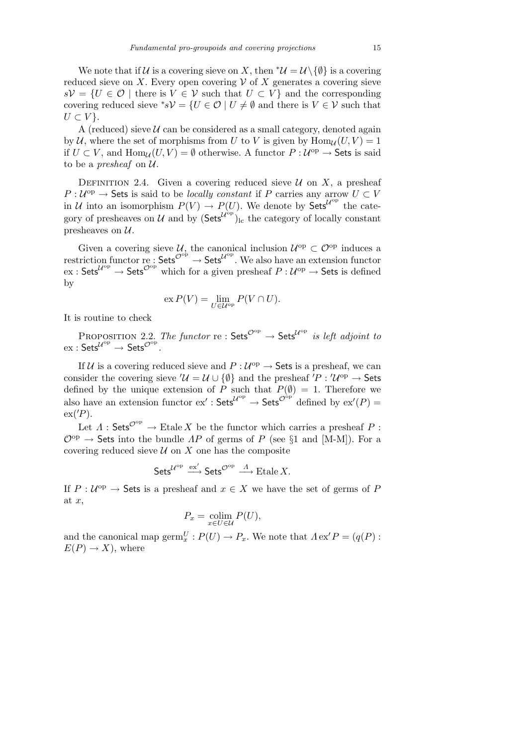We note that if *U* is a covering sieve on *X*, then  $^*\mathcal{U} = \mathcal{U} \setminus \{\emptyset\}$  is a covering reduced sieve on *X*. Every open covering  $V$  of *X* generates a covering sieve *sV* = {*U* ∈ *O* | there is *V* ∈ *V* such that *U* ⊂ *V*} and the corresponding covering reduced sieve  $^*sV = \{U \in \mathcal{O} \mid U \neq \emptyset \text{ and there is } V \in V \text{ such that }$ *U* ⊂ *V* }.

A (reduced) sieve  $U$  can be considered as a small category, denoted again by *U*, where the set of morphisms from *U* to *V* is given by  $\text{Hom}_{\mathcal{U}}(U, V) = 1$ if  $U \subset V$ , and  $\text{Hom}_{\mathcal{U}}(U, V) = \emptyset$  otherwise. A functor  $P: \mathcal{U}^{\text{op}} \to \text{Sets}$  is said to be a *presheaf* on *U*.

DEFINITION 2.4. Given a covering reduced sieve  $U$  on  $X$ , a presheaf  $P: U^{op} \to$  Sets is said to be *locally constant* if *P* carries any arrow  $U \subset V$ in *U* into an isomorphism  $P(V) \to P(U)$ . We denote by Sets<sup> $U^{\text{op}}$ </sup> the category of presheaves on *U* and by  $(Sets^{U^{\delta p}})$ <sub>lc</sub> the category of locally constant presheaves on *U*.

Given a covering sieve  $U$ , the canonical inclusion  $U^{\text{op}} \subset \mathcal{O}^{\text{op}}$  induces a restriction functor re :  $Sets^{\mathcal{O}^{\text{op}}}\to \mathsf{Sets}^{\mathcal{U}^{\text{op}}}$ . We also have an extension functor  $\text{ext}: \mathsf{Sets}^{\mathcal{U}^{\text{op}}} \to \mathsf{Sets}^{\mathcal{O}^{\text{op}}}$  which for a given presheaf  $P: \mathcal{U}^{\text{op}} \to \mathsf{Sets}$  is defined by

$$
\operatorname{ex} P(V) = \lim_{U \in \mathcal{U}^{\operatorname{op}}} P(V \cap U).
$$

It is routine to check

PROPOSITION 2.2. *The functor* re:  $\mathsf{Sets}^{\mathcal{O}^{op}} \to \mathsf{Sets}^{\mathcal{U}^{op}}$  is left adjoint to  $\mathrm{ex}: \mathsf{Sets}^{\mathcal{U}^{\mathrm{op}}}\to \mathsf{Sets}^{\mathcal{O}^{\mathrm{op}}}.$ 

If  $U$  is a covering reduced sieve and  $P: U^{op} \to \mathsf{Sets}$  is a presheaf, we can consider the covering sieve  $\mathcal{U} = \mathcal{U} \cup \{\emptyset\}$  and the presheaf  $P : \mathcal{U}^{\text{op}} \to \mathsf{Sets}$ defined by the unique extension of *P* such that  $P(\emptyset) = 1$ . Therefore we also have an extension functor  $ex' : \mathsf{Sets}^{\mathcal{U}^{\mathrm{op}}} \to \mathsf{Sets}^{\mathcal{O}^{\mathrm{op}}}$  defined by  $ex'(P) =$  $ex('P)$ .

Let  $\Lambda$ : Sets<sup> $\mathcal{O}^{\text{op}} \to \text{Etale } X$  be the functor which carries a presheaf  $P$ :</sup> *O*op *→* Sets into the bundle *ΛP* of germs of *P* (see *§*1 and [M-M]). For a covering reduced sieve  $U$  on  $X$  one has the composite

$$
{\sf Sets}^{{\mathcal{U}}^{\rm op}} \stackrel{{\rm ex}'}{\longrightarrow} {\sf Sets}^{{\mathcal{O}}^{\rm op}} \stackrel{\varLambda}{\longrightarrow} {\rm Etale}\, X.
$$

If  $P: \mathcal{U}^{\text{op}} \to \mathsf{Sets}$  is a presheaf and  $x \in X$  we have the set of germs of P at *x*,

$$
P_x = \operatornamewithlimits{colim}_{x \in U \in \mathcal{U}} P(U),
$$

and the canonical map  $\operatorname{germ}^U_x : P(U) \to P_x$ . We note that  $\Lambda$ ex<sup>'</sup> $P = (q(P) :$  $E(P) \rightarrow X$ , where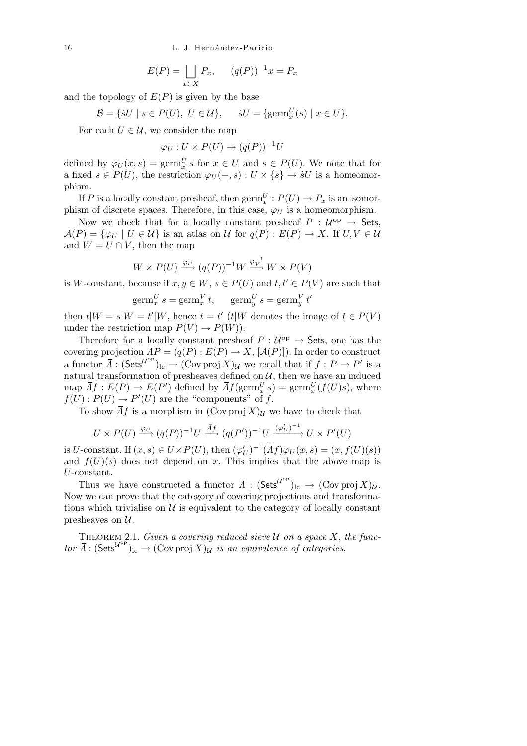$$
E(P) = \bigsqcup_{x \in X} P_x, \qquad (q(P))^{-1}x = P_x
$$

and the topology of  $E(P)$  is given by the base

$$
\mathcal{B} = \{ \dot{s}U \mid s \in P(U), \ U \in \mathcal{U} \}, \quad \dot{s}U = \{ \operatorname{germ}^U_x(s) \mid x \in U \}.
$$

For each  $U \in \mathcal{U}$ , we consider the map

$$
\varphi_U: U \times P(U) \to (q(P))^{-1}U
$$

defined by  $\varphi_U(x, s) = \text{germ}_x^U s$  for  $x \in U$  and  $s \in P(U)$ . We note that for a fixed  $s \in P(U)$ , the restriction  $\varphi_U(-, s) : U \times \{s\} \to sU$  is a homeomorphism.

If *P* is a locally constant presheaf, then  $\operatorname{germ}^U_x : P(U) \to P_x$  is an isomorphism of discrete spaces. Therefore, in this case,  $\varphi_U$  is a homeomorphism.

Now we check that for a locally constant presheaf  $P: U^{op} \to$  Sets,  $\mathcal{A}(P) = \{\varphi_U \mid U \in \mathcal{U}\}\$ is an atlas on  $\mathcal{U}$  for  $q(P) : E(P) \to X$ . If  $U, V \in \mathcal{U}\}$ and  $W = U \cap V$ , then the map

$$
W \times P(U) \xrightarrow{\varphi_U} (q(P))^{-1}W \xrightarrow{\varphi_V^{-1}} W \times P(V)
$$

is *W*-constant, because if  $x, y \in W$ ,  $s \in P(U)$  and  $t, t' \in P(V)$  are such that

*0*

$$
germ_x^U s = germ_x^V t, \quad germ_y^U s = germ_y^V t
$$

then  $t|W = s|W = t'|W$ , hence  $t = t'$  ( $t|W$  denotes the image of  $t \in P(V)$ ) under the restriction map  $P(V) \rightarrow P(W)$ .

Therefore for a locally constant presheaf  $P: U^{op} \to$  Sets, one has the covering projection  $\overline{AP} = (q(P) : E(P) \rightarrow X, [\mathcal{A}(P)])$ . In order to construct a functor  $\overline{A}$  :  $(\mathsf{Sets}^{\mathcal{U}^{\text{op}}})_{\text{lc}} \to (\mathsf{Cov} \operatorname{proj} X)_{\mathcal{U}}$  we recall that if  $f : P \to P'$  is a natural transformation of presheaves defined on  $U$ , then we have an induced map  $\overline{A}f : E(P) \to E(P')$  defined by  $\overline{A}f(\text{germ}_{x}^{U}s) = \text{germ}_{x}^{U}(f(U)s)$ , where  $f(U): P(U) \to P'(U)$  are the "components" of *f*.

To show  $\overline{A}f$  is a morphism in  $(\text{Cov }proj X)_{\mathcal{U}}$  we have to check that

$$
U \times P(U) \xrightarrow{\varphi_U} (q(P))^{-1}U \xrightarrow{\bar{A}f} (q(P'))^{-1}U \xrightarrow{(\varphi'_U)^{-1}} U \times P'(U)
$$

is *U*-constant. If  $(x, s) \in U \times P(U)$ , then  $(\varphi'_U)^{-1}(\overline{A}f)\varphi_U(x, s) = (x, f(U)(s))$ and  $f(U)(s)$  does not depend on *x*. This implies that the above map is *U*-constant.

Thus we have constructed a functor  $\overline{\Lambda}$  :  $(Sets^{U^{\text{op}}})_{\text{lc}} \to (\text{Cov } \text{proj } X)_{\mathcal{U}}$ . Now we can prove that the category of covering projections and transformations which trivialise on  $U$  is equivalent to the category of locally constant presheaves on *U*.

THEOREM 2.1. *Given a covering reduced sieve*  $U$  *on a space*  $X$ *, the func-* $\pi$ *ior*  $\overline{A}$  : (Sets<sup>*U*<sup>op</sup></sup>)<sub>lc</sub>  $\rightarrow$  (Cov proj *X*) $\mu$  *is an equivalence of categories.*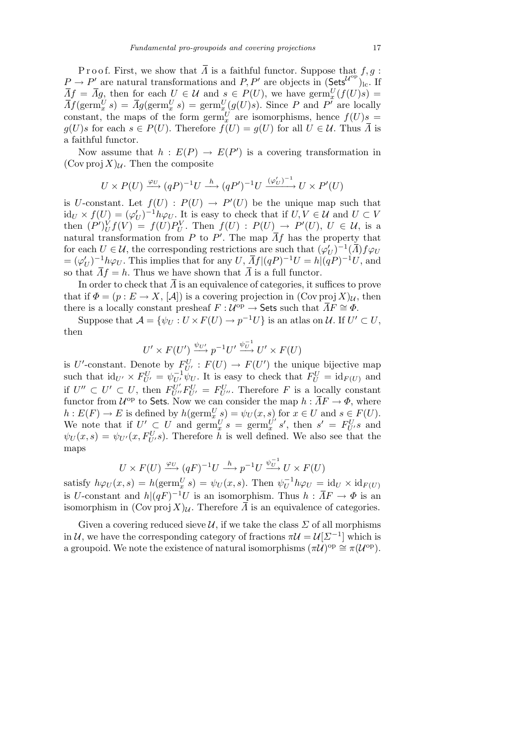P r o o f. First, we show that  $\overline{A}$  is a faithful functor. Suppose that  $f, g$ :  $P \rightarrow P'$  are natural transformations and  $P, P'$  are objects in  $(Sets^{U^{\text{op}}})_{\text{lc}}$ . If  $\overline{A}f = \overline{A}g$ , then for each  $U \in \mathcal{U}$  and  $s \in P(U)$ , we have  $\text{germ}_{x}^{U}(f(U)s)$  $\bar{A}f(\text{germ}_{x}^{U}s) = \bar{A}g(\text{germ}_{x}^{U}s) = \text{germ}_{x}^{U}(g(U)s)$ . Since *P* and *P*<sup>*i*</sup> are locally constant, the maps of the form  $\operatorname{germ}^U_x$  are isomorphisms, hence  $f(U)s =$  $g(U)s$  for each  $s \in P(U)$ . Therefore  $f(U) = g(U)$  for all  $U \in \mathcal{U}$ . Thus  $\overline{\Lambda}$  is a faithful functor.

Now assume that  $h : E(P) \to E(P')$  is a covering transformation in  $(Cov \text{proj } X)_{\mathcal{U}}$ . Then the composite

$$
U \times P(U) \xrightarrow{\varphi_U} (qP)^{-1}U \xrightarrow{h} (qP')^{-1}U \xrightarrow{(\varphi'_U)^{-1}} U \times P'(U)
$$

is *U*-constant. Let  $f(U)$ :  $P(U) \rightarrow P'(U)$  be the unique map such that  $\mathrm{id}_U \times f(U) = (\varphi'_U)^{-1}h\varphi_U$ . It is easy to check that if  $U, V \in \mathcal{U}$  and  $U \subset V$ then  $(P')_U^V f(V) = f(U) P_U^V$ . Then  $f(U) : P(U) \rightarrow P'(U)$ ,  $U \in \mathcal{U}$ , is a natural transformation from *P* to *P'*. The map  $\overline{A}f$  has the property that for each  $U \in \mathcal{U}$ , the corresponding restrictions are such that  $(\varphi'_U)^{-1}(\overline{\Lambda})f\varphi_U$  $= (\varphi'_U)^{-1} h \varphi_U$ . This implies that for any  $U$ ,  $\overline{A}f|(qP)^{-1}U = h|(qP)^{-1}U$ , and so that  $\overline{A}f = h$ . Thus we have shown that  $\overline{A}$  is a full functor.

In order to check that  $\overline{A}$  is an equivalence of categories, it suffices to prove that if  $\Phi = (p : E \to X, [\mathcal{A}])$  is a covering projection in  $(\text{Cov }proj X)_{\mathcal{U}}$ , then there is a locally constant presheaf  $F: U^{op} \to$  Sets such that  $\overline{A}F \cong \Phi$ .

Suppose that  $\mathcal{A} = \{\psi_U : U \times F(U) \to p^{-1}U\}$  is an atlas on  $\mathcal{U}$ . If  $U' \subset U$ , then

$$
U' \times F(U') \xrightarrow{\psi_{U'}} p^{-1}U' \xrightarrow{\psi_{U}^{-1}} U' \times F(U)
$$

is *U*'-constant. Denote by  $F_{U'}^U$  :  $F(U) \to F(U')$  the unique bijective map such that  $\mathrm{id}_{U'} \times F_{U'}^U = \psi_{U'}^{-1} \psi_U$ . It is easy to check that  $F_U^U = \mathrm{id}_{F(U)}$  and if  $U'' \subset U' \subset U$ , then  $F_{U''}^{U'}F_{U'}^{U} = F_{U''}^{U}$ . Therefore F is a locally constant functor from  $\mathcal{U}^{\text{op}}$  to Sets. Now we can consider the map  $h: \bar{A}F \to \Phi$ , where  $h: E(F) \to E$  is defined by  $h(\operatorname{germ}^U_x s) = \psi_U(x, s)$  for  $x \in U$  and  $s \in F(U)$ . We note that if  $U' \subset U$  and  $\operatorname{germ}^{U'}_x s = \operatorname{germ}^{U'}_x$  $\int_a^U$  *s*<sup>*v*</sup>, then *s'* =  $F_U^U$  *s* and  $\psi_U(x, s) = \psi_{U'}(x, F_{U'}^U s)$ . Therefore *h* is well defined. We also see that the maps

$$
U \times F(U) \xrightarrow{\varphi_U} (qF)^{-1}U \xrightarrow{h} p^{-1}U \xrightarrow{\psi_U^{-1}} U \times F(U)
$$

satisfy  $h\varphi_U(x, s) = h(\operatorname{germ}_x^U s) = \psi_U(x, s)$ . Then  $\psi_U^{-1}h\varphi_U = id_U \times id_{F(U)}$ is *U*-constant and  $h|(qF)^{-1}U$  is an isomorphism. Thus  $h : \overline{A}F \to \Phi$  is an isomorphism in  $(\text{Cov proj } X)_U$ . Therefore  $\overline{A}$  is an equivalence of categories.

Given a covering reduced sieve  $U$ , if we take the class  $\Sigma$  of all morphisms in *U*, we have the corresponding category of fractions  $\pi U = U[\Sigma^{-1}]$  which is a groupoid. We note the existence of natural isomorphisms  $(\pi \mathcal{U})^{\mathrm{op}} \cong \pi(\mathcal{U}^{\mathrm{op}})$ .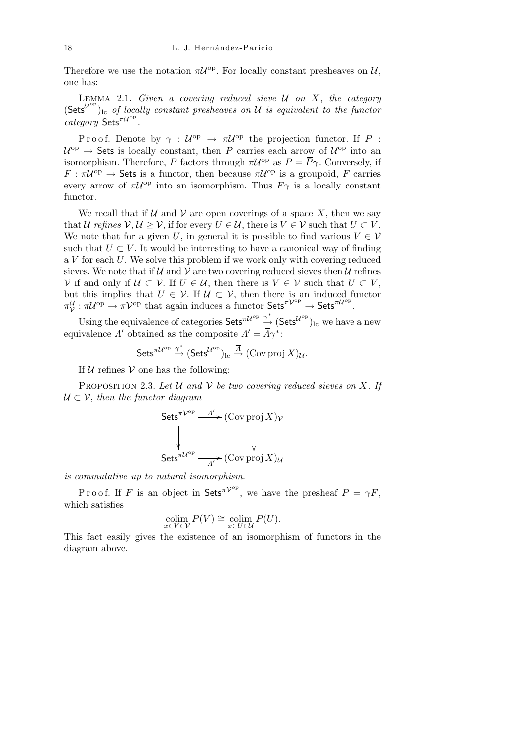Therefore we use the notation  $\pi \mathcal{U}^{\text{op}}$ . For locally constant presheaves on  $\mathcal{U},$ one has:

Lemma 2.1. *Given a covering reduced sieve U on X*, *the category*  $(Sets^{U^{op}})$ <sub>lc</sub> of locally constant presheaves on *U* is equivalent to the functor *category* Sets<sup>π*U*°</sup><sup>p</sup>.

P r o o f. Denote by  $\gamma : \mathcal{U}^{\text{op}} \to \pi \mathcal{U}^{\text{op}}$  the projection functor. If P :  $U^{\text{op}} \to$  Sets is locally constant, then *P* carries each arrow of  $U^{\text{op}}$  into an isomorphism. Therefore, *P* factors through  $\pi \mathcal{U}^{\text{op}}$  as  $P = \overline{P} \gamma$ . Conversely, if  $F : \pi \mathcal{U}^{\mathrm{op}} \to \mathsf{Sets}$  is a functor, then because  $\pi \mathcal{U}^{\mathrm{op}}$  is a groupoid, *F* carries every arrow of  $\pi U^{\text{op}}$  into an isomorphism. Thus  $F\gamma$  is a locally constant functor.

We recall that if  $U$  and  $V$  are open coverings of a space X, then we say that *U* refines  $V, U \geq V$ , if for every  $U \in U$ , there is  $V \in V$  such that  $U \subset V$ . We note that for a given *U*, in general it is possible to find various  $V \in V$ such that  $U \subset V$ . It would be interesting to have a canonical way of finding a *V* for each *U*. We solve this problem if we work only with covering reduced sieves. We note that if  $U$  and  $V$  are two covering reduced sieves then  $U$  refines *V* if and only if  $U ⊂ V$ . If  $U ∈ U$ , then there is  $V ∈ V$  such that  $U ⊂ V$ , but this implies that  $U \in \mathcal{V}$ . If  $\mathcal{U} \subset \mathcal{V}$ , then there is an induced functor  $\pi_V^{\mathcal{U}}: \pi \mathcal{U}^{\mathrm{op}} \to \pi \mathcal{V}^{\mathrm{op}}$  that again induces a functor Sets<sup> $\pi \mathcal{V}^{\mathrm{op}} \to$  Sets<sup> $\pi \mathcal{U}^{\mathrm{op}}$ .</sup></sup>

Using the equivalence of categories  $\mathsf{Sets}^{\pi \mathcal{U}^{\mathrm{op}}}\stackrel{\gamma^*}{\to} (\mathsf{Sets}^{\mathcal{U}^{\mathrm{op}}})_{\mathrm{lc}}$  we have a new equivalence *Λ*' obtained as the composite  $\Lambda' = \overline{\Lambda}\gamma^*$ :

$$
{\sf Sets}^{\pi {\mathcal U}^{\rm op}} \stackrel{\gamma^*}{\to} ({\sf Sets}^{{\mathcal U}^{\rm op}})_{\rm lc} \stackrel{\overline{A}}{\to} ({\rm Cov\,} {\rm proj}\, X)_{\mathcal U}.
$$

If  $U$  refines  $V$  one has the following:

Proposition 2.3. *Let U and V be two covering reduced sieves on X. If U ⊂ V*, *then the functor diagram*

Sets<sup>$$
\pi
$$</sup> $\nu^{op} \xrightarrow{A'} \text{ (Cov proj } X)_\nu$   
\n $\downarrow \qquad \qquad \downarrow$   
\nSets <sup>$\pi$</sup>  $\nu^{op} \xrightarrow{A'} \text{ (Cov proj } X)_\nu$ 

*is commutative up to natural isomorphism*.

P r o o f. If *F* is an object in Sets<sup> $\pi V^{\rm op}$ </sup>, we have the presheaf  $P = \gamma F$ , which satisfies

$$
\operatorname*{colim}_{x \in V \in V} P(V) \cong \operatorname*{colim}_{x \in U \in \mathcal{U}} P(U).
$$

This fact easily gives the existence of an isomorphism of functors in the diagram above.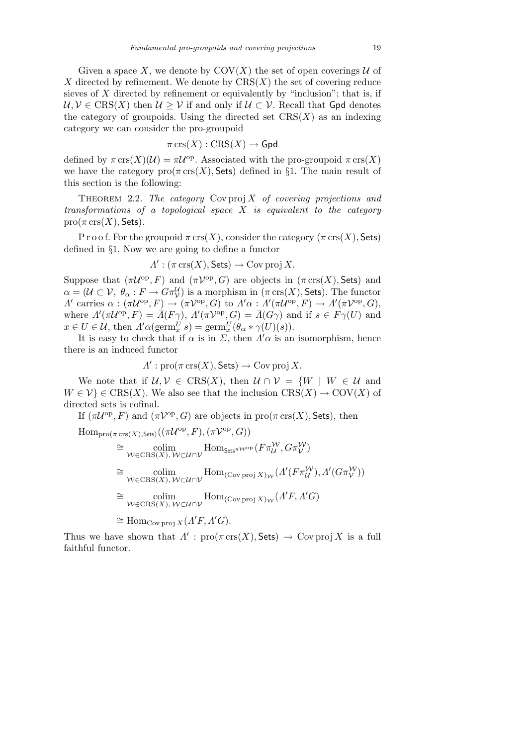Given a space X, we denote by  $COV(X)$  the set of open coverings  $U$  of *X* directed by refinement. We denote by  $CRS(X)$  the set of covering reduce sieves of *X* directed by refinement or equivalently by "inclusion"; that is, if  $U, V \in \text{CRS}(X)$  then  $U \geq V$  if and only if  $U \subset V$ . Recall that Gpd denotes the category of groupoids. Using the directed set  $CRS(X)$  as an indexing category we can consider the pro-groupoid

$$
\pi \operatorname{crs}(X): \operatorname{CRS}(X) \to \operatorname{\mathsf{Gpd}}
$$

defined by  $\pi \operatorname{crs}(X)(\mathcal{U}) = \pi \mathcal{U}^{\text{op}}$ . Associated with the pro-groupoid  $\pi \operatorname{crs}(X)$ we have the category  $\text{pro}(\pi \text{ crs}(X), \text{Sets})$  defined in §1. The main result of this section is the following:

THEOREM 2.2. The category  $Cov \text{proj } X$  of covering projections and *transformations of a topological space X is equivalent to the category*  $pro(\pi \operatorname{crs}(X),$  Sets).

P r o o f. For the groupoid  $\pi$  crs(*X*), consider the category ( $\pi$  crs(*X*), Sets) defined in *§*1. Now we are going to define a functor

$$
\Lambda': (\pi \operatorname{crs}(X), \operatorname{\mathsf{Sets}}) \to \operatorname{Cov} \operatorname{proj} X.
$$

Suppose that  $(\pi \mathcal{U}^{\text{op}}, F)$  and  $(\pi \mathcal{V}^{\text{op}}, G)$  are objects in  $(\pi \operatorname{crs}(X), \mathsf{Sets})$  and  $\alpha = (\mathcal{U} \subset \mathcal{V}, \ \theta_{\alpha} : F \to G\pi_{\mathcal{V}}^{\mathcal{U}})$  is a morphism in  $(\pi \operatorname{crs}(X), \mathsf{Sets})$ . The functor A' carries  $\alpha : (\pi\mathcal{U}^{\mathrm{op}}, F) \to (\pi\mathcal{V}^{\mathrm{op}}, G)$  to  $A'\alpha : A'(\pi\mathcal{U}^{\mathrm{op}}, F) \to A'(\pi\mathcal{V}^{\mathrm{op}}, G)$ , where  $\Lambda'(\pi \mathcal{U}^{\text{op}}, F) = \overline{\Lambda}(F\gamma)$ ,  $\Lambda'(\pi \mathcal{V}^{\text{op}}, G) = \overline{\Lambda}(G\gamma)$  and if  $s \in F\gamma(U)$  and  $x \in U \in \mathcal{U}$ , then  $\Lambda' \alpha(\operatorname{germ}^U_x s) = \operatorname{germ}^U_x(\theta_\alpha * \gamma(U)(s)).$ 

It is easy to check that if  $\alpha$  is in  $\Sigma$ , then  $\Lambda' \alpha$  is an isomorphism, hence there is an induced functor

 $A'$ :  $\text{pro}(\pi \text{ crs}(X), \text{Sets}) \rightarrow \text{Cov} \text{proj } X.$ 

We note that if  $U, V \in \text{CRS}(X)$ , then  $U \cap V = \{W \mid W \in U \text{ and }$  $W \in \mathcal{V}$   $\in \text{CRS}(X)$ . We also see that the inclusion  $\text{CRS}(X) \to \text{COV}(X)$  of directed sets is cofinal.

If  $(\pi U^{\text{op}}, F)$  and  $(\pi V^{\text{op}}, G)$  are objects in  $\text{pro}(\pi \text{ crs}(X), \text{Sets})$ , then

 $\text{Hom}_{\text{pro}(\pi \text{ crs}(X), \text{Sets})}((\pi \mathcal{U}^{\text{op}}, F), (\pi \mathcal{V}^{\text{op}}, G))$ 

$$
\cong \underset{\mathcal{W}\in \text{CRS}(X), \mathcal{W}\subset \mathcal{U}\cap \mathcal{V}}{\text{colim}} \text{Hom}_{\text{Sets}\pi\mathcal{W}^{\text{op}}}(F\pi_{\mathcal{U}}^{\mathcal{W}}, G\pi_{\mathcal{V}}^{\mathcal{W}})
$$
\n
$$
\cong \underset{\mathcal{W}\in \text{CRS}(X), \mathcal{W}\subset \mathcal{U}\cap \mathcal{V}}{\text{colim}} \text{Hom}_{(\text{Cov proj }X)_{\mathcal{W}}}(A'(F\pi_{\mathcal{U}}^{\mathcal{W}}), A'(G\pi_{\mathcal{V}}^{\mathcal{W}}))
$$
\n
$$
\cong \underset{\mathcal{W}\in \text{CRS}(X), \mathcal{W}\subset \mathcal{U}\cap \mathcal{V}}{\text{colim}} \text{Hom}_{(\text{Cov proj }X)_{\mathcal{W}}}(A'F, A'G)
$$
\n
$$
\cong \text{Hom}_{\text{Cov proj }X}(A'F, A'G).
$$

Thus we have shown that  $\Lambda'$ :  $\text{pro}(\pi \text{ crs}(X), \text{Sets}) \to \text{Cov} \text{proj } X$  is a full faithful functor.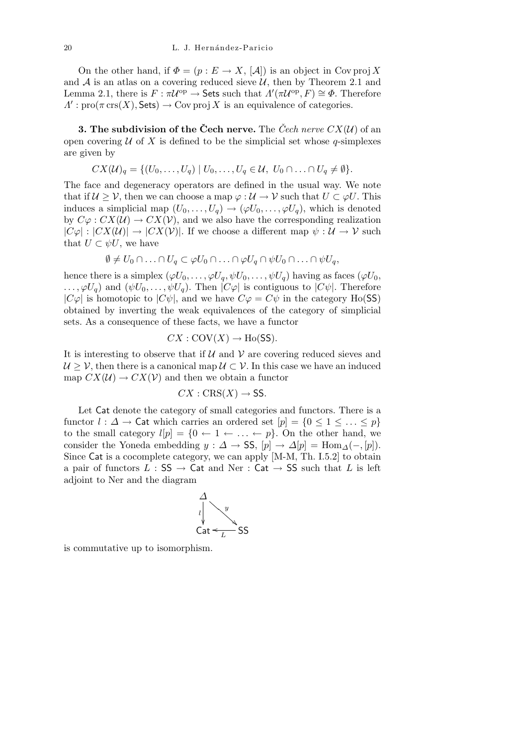On the other hand, if  $\Phi = (p : E \to X, [\mathcal{A}])$  is an object in Cov proj X and  $A$  is an atlas on a covering reduced sieve  $U$ , then by Theorem 2.1 and Lemma 2.1, there is  $F : \pi \mathcal{U}^{\text{op}} \to \text{Sets}$  such that  $\Lambda'(\pi \mathcal{U}^{\text{op}}, F) \cong \Phi$ . Therefore  $A'$ : pro( $\pi$  crs(*X*), Sets)  $\rightarrow$  Cov proj *X* is an equivalence of categories.

**3. The subdivision of the Cech nerve.** The Cech nerve  $CX(\mathcal{U})$  of an open covering  $U$  of  $X$  is defined to be the simplicial set whose  $q$ -simplexes are given by

$$
CX(\mathcal{U})_q = \{ (U_0, \ldots, U_q) \mid U_0, \ldots, U_q \in \mathcal{U}, U_0 \cap \ldots \cap U_q \neq \emptyset \}.
$$

The face and degeneracy operators are defined in the usual way. We note that if  $U \geq V$ , then we can choose a map  $\varphi : U \to V$  such that  $U \subset \varphi U$ . This induces a simplicial map  $(U_0, \ldots, U_q) \rightarrow (\varphi U_0, \ldots, \varphi U_q)$ , which is denoted by  $C\varphi$ :  $CX(\mathcal{U}) \to CX(\mathcal{V})$ , and we also have the corresponding realization  $|C\varphi|: |CX(\mathcal{U})| \to |CX(\mathcal{V})|$ . If we choose a different map  $\psi: \mathcal{U} \to \mathcal{V}$  such that  $U \subset \psi U$ , we have

$$
\emptyset \neq U_0 \cap \ldots \cap U_q \subset \varphi U_0 \cap \ldots \cap \varphi U_q \cap \psi U_0 \cap \ldots \cap \psi U_q,
$$

hence there is a simplex  $(\varphi U_0, \ldots, \varphi U_q, \psi U_0, \ldots, \psi U_q)$  having as faces  $(\varphi U_0, \ldots, \varphi U_q, \psi U_q, \psi U_q)$  $\ldots$ ,  $\varphi U_q$  and  $(\psi U_0, \ldots, \psi U_q)$ . Then  $|C\varphi|$  is contiguous to  $|C\psi|$ . Therefore  $|C\varphi|$  is homotopic to  $|C\psi|$ , and we have  $C\varphi = C\psi$  in the category Ho(SS) obtained by inverting the weak equivalences of the category of simplicial sets. As a consequence of these facts, we have a functor

$$
CX: \text{COV}(X) \to \text{Ho}(\text{SS}).
$$

It is interesting to observe that if *U* and *V* are covering reduced sieves and  $U \geq V$ , then there is a canonical map  $U \subset V$ . In this case we have an induced map  $CX(\mathcal{U}) \rightarrow CX(\mathcal{V})$  and then we obtain a functor

$$
CX:CRS(X) \rightarrow SS.
$$

Let Cat denote the category of small categories and functors. There is a functor  $l : \Delta \to \mathsf{Cat}$  which carries an ordered set  $[p] = \{0 \leq l \leq \ldots \leq p\}$ to the small category  $l[p] = \{0 \leftarrow 1 \leftarrow \dots \leftarrow p\}$ . On the other hand, we consider the Yoneda embedding  $y : \Delta \to \text{SS}, [p] \to \Delta[p] = \text{Hom}_{\Delta}(-, [p]).$ Since Cat is a cocomplete category, we can apply [M-M, Th. I.5.2] to obtain a pair of functors  $L : SS \rightarrow Cat$  and Ner : Cat  $\rightarrow SS$  such that  $L$  is left adjoint to Ner and the diagram

$$
\begin{array}{c}\n\Delta \\
\downarrow \\
\downarrow \\
\text{Cat} \leftarrow \\
\downarrow \\
\text{S} \\
\end{array}
$$

is commutative up to isomorphism.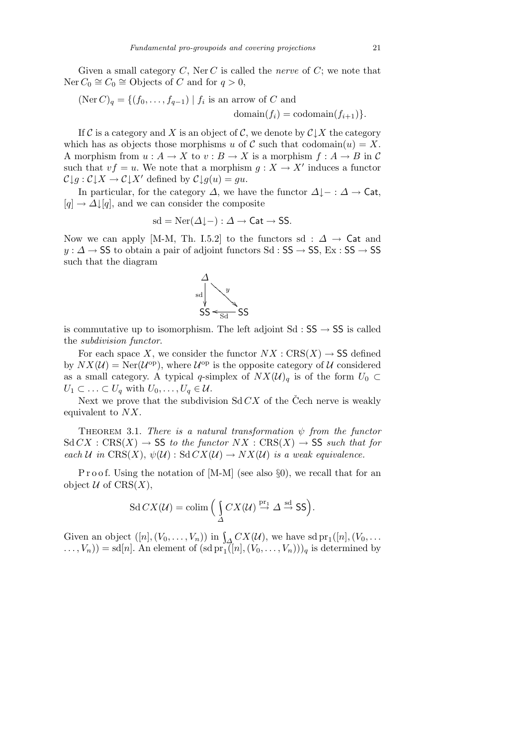Given a small category *C*, Ner *C* is called the *nerve* of *C*; we note that  $Ner C<sub>0</sub> ≅ C<sub>0</sub> ≅ Objects of C and for q > 0,$ 

$$
(\text{Ner } C)_q = \{ (f_0, \dots, f_{q-1}) \mid f_i \text{ is an arrow of } C \text{ and } \text{domain}(f_i) = \text{codomain}(f_{i+1}) \}.
$$

If  $\mathcal C$  is a category and  $X$  is an object of  $\mathcal C$ , we denote by  $\mathcal C\downarrow X$  the category which has as objects those morphisms *u* of *C* such that codomain $(u) = X$ . A morphism from  $u : A \to X$  to  $v : B \to X$  is a morphism  $f : A \to B$  in C such that  $vf = u$ . We note that a morphism  $g: X \to X'$  induces a functor  $\mathcal{C} \downarrow g : \mathcal{C} \downarrow X \to \mathcal{C} \downarrow X'$  defined by  $\mathcal{C} \downarrow g(u) = gu$ .

In particular, for the category  $\Delta$ , we have the functor  $\Delta \downarrow - : \Delta \rightarrow \mathsf{Cat}$ ,  $[q] \rightarrow \Delta \downarrow [q]$ , and we can consider the composite

$$
sd = \text{Ner}(\Delta \downarrow -) : \Delta \to \text{Cat} \to \text{SS}.
$$

Now we can apply [M-M, Th. I.5.2] to the functors sd :  $\Delta \rightarrow$  Cat and *y* :  $\Delta$  → SS to obtain a pair of adjoint functors Sd : SS → SS, Ex : SS → SS such that the diagram



is commutative up to isomorphism. The left adjoint Sd : SS *→* SS is called the *subdivision functor*.

For each space *X*, we consider the functor  $NX : CRS(X) \rightarrow SS$  defined by  $NX(\mathcal{U}) = \text{Ner}(\mathcal{U}^{\text{op}})$ , where  $\mathcal{U}^{\text{op}}$  is the opposite category of  $\mathcal{U}$  considered as a small category. A typical *q*-simplex of  $NX(\mathcal{U})_q$  is of the form  $U_0 \subset$  $U_1 \subset \ldots \subset U_q$  with  $U_0, \ldots, U_q \in \mathcal{U}$ .

Next we prove that the subdivision  $Sd$  *CX* of the Cech nerve is weakly equivalent to *NX*.

THEOREM 3.1. *There is a natural transformation*  $\psi$  *from the functor*  $Sd C X : CRS(X) \rightarrow SS$  *to the functor*  $NX : CRS(X) \rightarrow SS$  *such that for each U* in CRS $(X)$ ,  $\psi(\mathcal{U})$  : Sd  $CX(\mathcal{U}) \rightarrow NX(\mathcal{U})$  is a weak equivalence.

P r o o f. Using the notation of [M-M] (see also  $\S$ 0), we recall that for an object  $U$  of  $CRS(X)$ ,

$$
\operatorname{Sd} C X(\mathcal{U}) = \operatorname{colim} \Big( \int_{\Delta} C X(\mathcal{U}) \stackrel{\text{pr}_1}{\to} \Delta \stackrel{\text{sd}}{\to} \text{SS} \Big).
$$

Given an object  $([n], (V_0, \ldots, V_n))$  in  $\int_A CX(\mathcal{U})$ , we have sd pr<sub>1</sub> $([n], (V_0, \ldots, V_n))$  $\dots, V_n)$  = sd[*n*]. An element of  $(\text{sd pr}_1([n], (V_0, \dots, V_n)))_q$  is determined by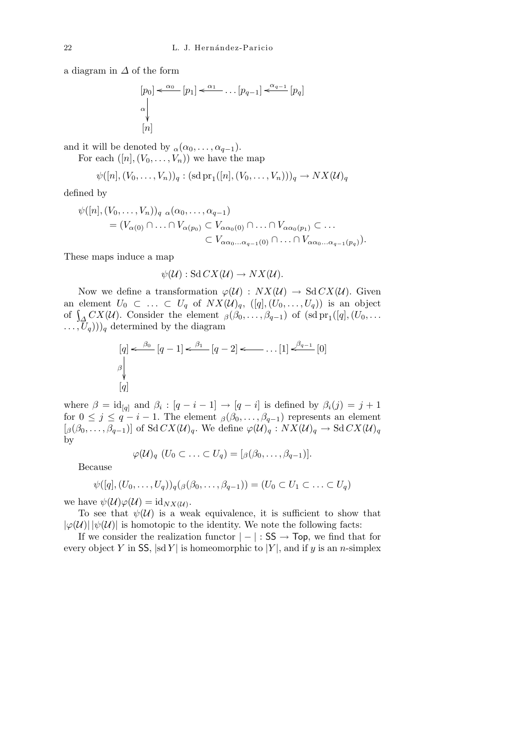a diagram in *∆* of the form

$$
[p_0] \xleftarrow{\alpha_0} [p_1] \xleftarrow{\alpha_1} \dots [p_{q-1}] \xleftarrow{\alpha_{q-1}} [p_q]
$$
  
\n
$$
\begin{bmatrix} \alpha \\ \vdots \\ \alpha \end{bmatrix}
$$

and it will be denoted by  $\alpha(\alpha_0, \ldots, \alpha_{q-1})$ .

For each  $([n], (V_0, \ldots, V_n))$  we have the map

$$
\psi([n], (V_0, ..., V_n))_q : (\text{sd pr}_1([n], (V_0, ..., V_n)))_q \to N X(\mathcal{U})_q
$$

defined by

$$
\psi([n], (V_0, \dots, V_n))_q \underset{\alpha(\alpha_0, \dots, \alpha_{q-1})}{\alpha(\alpha_0, \dots, \alpha_{q-1})} = (V_{\alpha(0)} \cap \dots \cap V_{\alpha(p_0)} \subset V_{\alpha\alpha_0(0)} \cap \dots \cap V_{\alpha\alpha_0(p_1)} \subset \dots
$$

$$
\subset V_{\alpha\alpha_0 \dots \alpha_{q-1}(0)} \cap \dots \cap V_{\alpha\alpha_0 \dots \alpha_{q-1}(p_q)}).
$$

These maps induce a map

$$
\psi(\mathcal{U}): \mathrm{Sd} \, CX(\mathcal{U}) \to NX(\mathcal{U}).
$$

Now we define a transformation  $\varphi(\mathcal{U})$  :  $NX(\mathcal{U}) \rightarrow \text{Sd } CX(\mathcal{U})$ . Given an element  $U_0 \subset \ldots \subset U_q$  of  $NX(\mathcal{U})_q$ ,  $([q], (U_0, \ldots, U_q))$  is an object of  $\int_{\Delta} C X(\mathcal{U})$ . Consider the element  $\beta(\beta_0, \ldots, \beta_{q-1})$  of  $(\text{sd pr}_1([q], (U_0, \ldots,$  $\ldots$ ,  $(\overline{U}_q)$ ))<sub>q</sub> determined by the diagram

$$
[q] \xleftarrow{\beta_0} [q-1] \xleftarrow{\beta_1} [q-2] \xleftarrow{\dots} [1] \xleftarrow{\beta_{q-1}} [0]
$$
\n
$$
\downarrow
$$
\n
$$
[q]
$$

where  $\beta = id_{[q]}$  and  $\beta_i : [q - i - 1] \rightarrow [q - i]$  is defined by  $\beta_i(j) = j + 1$ for  $0 \leq j \leq q - i - 1$ . The element  $\beta(\beta_0, \ldots, \beta_{q-1})$  represents an element  $[\beta(\beta_0, \ldots, \beta_{q-1})]$  of Sd  $CX(\mathcal{U})_q$ . We define  $\varphi(\mathcal{U})_q : NX(\mathcal{U})_q \to \text{Sd }CX(\mathcal{U})_q$ by

$$
\varphi(\mathcal{U})_q \ (U_0 \subset \ldots \subset U_q) = [\beta(\beta_0, \ldots, \beta_{q-1})].
$$

Because

$$
\psi([q], (U_0, \ldots, U_q))_q(\beta(\beta_0, \ldots, \beta_{q-1})) = (U_0 \subset U_1 \subset \ldots \subset U_q)
$$

we have  $\psi(\mathcal{U})\varphi(\mathcal{U}) = \mathrm{id}_{NX(\mathcal{U})}$ .

To see that  $\psi(\mathcal{U})$  is a weak equivalence, it is sufficient to show that  $|\varphi(\mathcal{U})| |\psi(\mathcal{U})|$  is homotopic to the identity. We note the following facts:

If we consider the realization functor *| − |* : SS *→* Top, we find that for every object *Y* in SS,  $|sd Y|$  is homeomorphic to  $|Y|$ , and if *y* is an *n*-simplex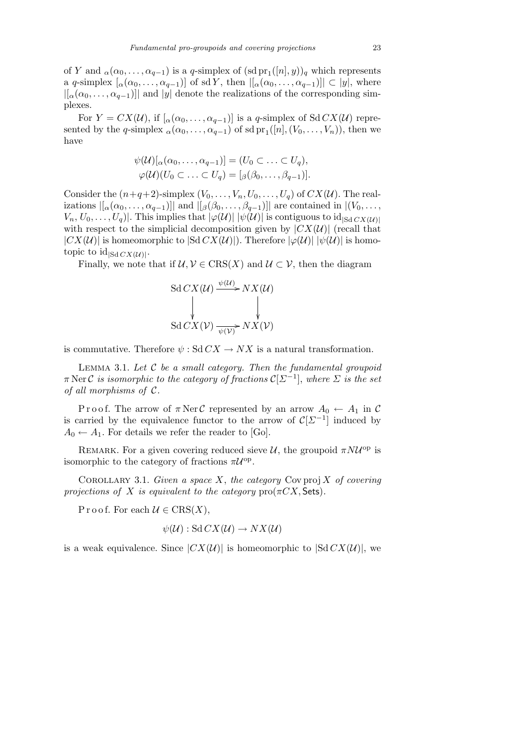of *Y* and  $_{\alpha}(\alpha_0, \ldots, \alpha_{q-1})$  is a *q*-simplex of  $(\text{sd pr}_1([n], y))_q$  which represents a *q*-simplex  $[\alpha(\alpha_0, \ldots, \alpha_{q-1})]$  of sd *Y*, then  $|[\alpha(\alpha_0, \ldots, \alpha_{q-1})]| \subset |y|$ , where  $|a_{\alpha}(a_0, \ldots, a_{q-1})|$  and  $|y|$  denote the realizations of the corresponding simplexes.

For  $Y = CX(\mathcal{U})$ , if  $[\alpha(\alpha_0, \ldots, \alpha_{q-1})]$  is a *q*-simplex of Sd  $CX(\mathcal{U})$  represented by the *q*-simplex  $\alpha(\alpha_0, \ldots, \alpha_{q-1})$  of sd  $\text{pr}_1([n], (V_0, \ldots, V_n))$ , then we have

$$
\psi(\mathcal{U})[\alpha(\alpha_0,\ldots,\alpha_{q-1})]=(U_0\subset\ldots\subset U_q),
$$
  

$$
\varphi(\mathcal{U})(U_0\subset\ldots\subset U_q)=[\beta(\beta_0,\ldots,\beta_{q-1})].
$$

Consider the  $(n+q+2)$ -simplex  $(V_0, \ldots, V_n, U_0, \ldots, U_q)$  of  $CX(\mathcal{U})$ . The realizations  $\left\vert \left[ \alpha(\alpha_0, \ldots, \alpha_{q-1}) \right] \right\vert$  and  $\left\vert \left[ \beta(\beta_0, \ldots, \beta_{q-1}) \right] \right\vert$  are contained in  $\left\vert \left( V_0, \ldots, \beta_{q-1} \right) \right\rvert$  $V_n, U_0, \ldots, U_q$ *)*. This implies that  $|\varphi(\mathcal{U})| |\psi(\mathcal{U})|$  is contiguous to id<sub>|Sd *CX*(*U*)|</sub> with respect to the simplicial decomposition given by  $|CX(\mathcal{U})|$  (recall that  $|CX(\mathcal{U})|$  is homeomorphic to  $|Sd CX(\mathcal{U})|$ . Therefore  $|\varphi(\mathcal{U})| |\psi(\mathcal{U})|$  is homotopic to  $\mathrm{id}_{|Sd} C X(\mathcal{U})|$ .

Finally, we note that if  $\mathcal{U}, \mathcal{V} \in \text{CRS}(X)$  and  $\mathcal{U} \subset \mathcal{V}$ , then the diagram

Sd 
$$
CX(U) \xrightarrow{\psi(U)} NX(U)
$$
  
\n $\downarrow$   
\nSd  $CX(V) \xrightarrow{\psi(V)} NX(V)$ 

is commutative. Therefore  $\psi$ : Sd  $CX \rightarrow NX$  is a natural transformation.

Lemma 3.1. *Let C be a small category. Then the fundamental groupoid π* Ner *C is isomorphic to the category of fractions C*[*Σ<sup>−</sup>*<sup>1</sup> ], *where Σ is the set of all morphisms of C.*

Proof. The arrow of  $\pi$  Ner C represented by an arrow  $A_0 \leftarrow A_1$  in C is carried by the equivalence functor to the arrow of  $\mathcal{C}[\Sigma^{-1}]$  induced by  $A_0 \leftarrow A_1$ . For details we refer the reader to [Go].

REMARK. For a given covering reduced sieve  $U$ , the groupoid  $\pi N U^{\text{op}}$  is isomorphic to the category of fractions  $\pi \mathcal{U}^{\text{op}}$ .

COROLLARY 3.1. *Given a space*  $X$ , the category Cov proj  $X$  of covering *projections of X is equivalent to the category*  $\text{pro}(\pi CX, \text{Sets})$ *.* 

Proof. For each  $\mathcal{U} \in \text{CRS}(X)$ ,

$$
\psi(\mathcal{U}): \mathrm{Sd} \, CX(\mathcal{U}) \to N X(\mathcal{U})
$$

is a weak equivalence. Since  $|CX(\mathcal{U})|$  is homeomorphic to  $|Sd C X(\mathcal{U})|$ , we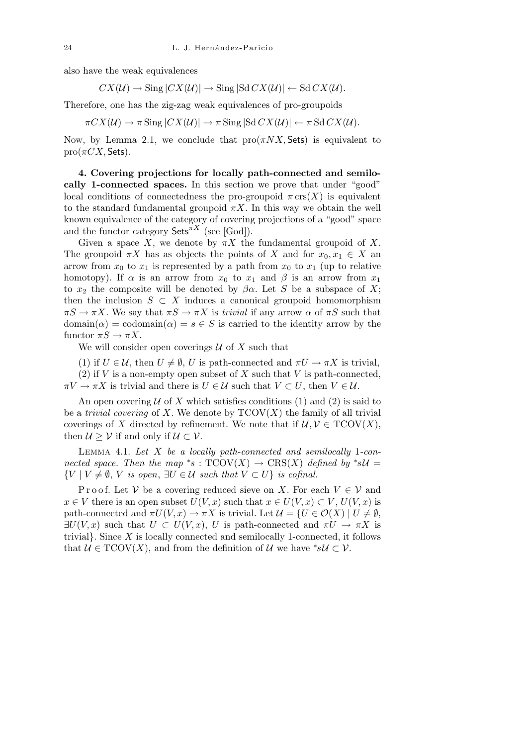also have the weak equivalences

$$
CX(\mathcal{U}) \rightarrow \text{Sing} |CX(\mathcal{U})| \rightarrow \text{Sing} |Sd \, CX(\mathcal{U})| \leftarrow Sd \, CX(\mathcal{U}).
$$

Therefore, one has the zig-zag weak equivalences of pro-groupoids

$$
\pi C X(\mathcal{U}) \to \pi \operatorname{Sing} |CX(\mathcal{U})| \to \pi \operatorname{Sing} |Sd C X(\mathcal{U})| \leftarrow \pi Sd C X(\mathcal{U}).
$$

Now, by Lemma 2.1, we conclude that  $\text{pro}(\pi N X, \text{Sets})$  is equivalent to  $pro(\pi CX, Sets).$ 

**4. Covering projections for locally path-connected and semilocally 1-connected spaces.** In this section we prove that under "good" local conditions of connectedness the pro-groupoid  $\pi$  crs $(X)$  is equivalent to the standard fundamental groupoid  $\pi X$ . In this way we obtain the well known equivalence of the category of covering projections of a "good" space and the functor category Sets*πX* (see [God]).

Given a space *X*, we denote by  $\pi X$  the fundamental groupoid of *X*. The groupoid  $\pi X$  has as objects the points of *X* and for  $x_0, x_1 \in X$  and arrow from  $x_0$  to  $x_1$  is represented by a path from  $x_0$  to  $x_1$  (up to relative homotopy). If  $\alpha$  is an arrow from  $x_0$  to  $x_1$  and  $\beta$  is an arrow from  $x_1$ to  $x_2$  the composite will be denoted by  $\beta \alpha$ . Let *S* be a subspace of *X*; then the inclusion  $S \subset X$  induces a canonical groupoid homomorphism  $\pi S \to \pi X$ . We say that  $\pi S \to \pi X$  is *trivial* if any arrow  $\alpha$  of  $\pi S$  such that  $\text{domain}(\alpha) = \text{codomain}(\alpha) = s \in S$  is carried to the identity arrow by the functor  $\pi S \to \pi X$ .

We will consider open coverings *U* of *X* such that

(1) if  $U \in \mathcal{U}$ , then  $U \neq \emptyset$ ,  $U$  is path-connected and  $\pi U \rightarrow \pi X$  is trivial, (2) if *V* is a non-empty open subset of *X* such that *V* is path-connected,  $\pi V \to \pi X$  is trivial and there is  $U \in \mathcal{U}$  such that  $V \subset U$ , then  $V \in \mathcal{U}$ .

An open covering  $U$  of X which satisfies conditions (1) and (2) is said to be a *trivial covering* of *X*. We denote by  $TCOV(X)$  the family of all trivial coverings of *X* directed by refinement. We note that if  $\mathcal{U}, \mathcal{V} \in \text{TCOV}(X)$ , then  $U \geq V$  if and only if  $U \subset V$ .

Lemma 4.1. *Let X be a locally path-connected and semilocally* 1*-connected space. Then the map*  $*$ s:  $TCOV(X) \rightarrow CRS(X)$  *defined by*  $*sU =$  $\{V \mid V \neq \emptyset, V \text{ is open}, \exists U \in \mathcal{U} \text{ such that } V \subset U\} \text{ is cofinal.}$ 

Proof. Let  $V$  be a covering reduced sieve on X. For each  $V \in V$  and *x* ∈ *V* there is an open subset *U*(*V, x*) such that  $x \in U(V, x) \subset V$ ,  $U(V, x)$  is path-connected and  $\pi U(V, x) \to \pi X$  is trivial. Let  $\mathcal{U} = \{U \in \mathcal{O}(X) \mid U \neq \emptyset,$  $\exists U(V, x)$  such that  $U \subset U(V, x)$ , *U* is path-connected and  $\pi U \to \pi X$  is trivial*}*. Since *X* is locally connected and semilocally 1-connected, it follows that  $\mathcal{U} \in \text{TCOV}(X)$ , and from the definition of  $\mathcal{U}$  we have  $^*s\mathcal{U} \subset \mathcal{V}$ .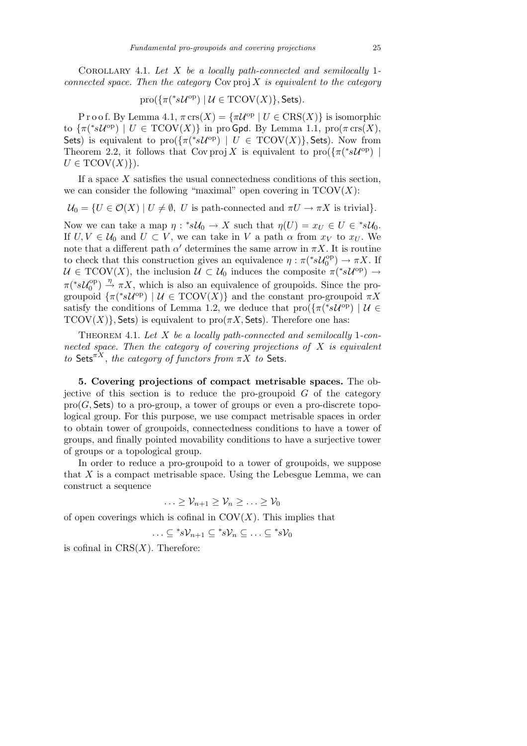Corollary 4.1. *Let X be a locally path-connected and semilocally* 1 *connected space. Then the category* Cov proj *X is equivalent to the category*

$$
\text{pro}(\{\pi({}^*s\mathcal{U}^{\text{op}})\ |\ \mathcal{U}\in \text{TCOV}(X)\},\text{Sets}).
$$

P r o o f. By Lemma 4.1,  $\pi$  crs $(X) = {\pi \mathcal{U}^{\mathrm{op}}} | U \in \mathrm{CRS}(X)$ } is isomorphic to  $\{\pi(^*s\mathcal{U}^{\text{op}}) \mid U \in \text{TCOV}(X)\}\$ in pro Gpd. By Lemma 1.1, pro $(\pi \text{crs}(X),\)$ Sets) is equivalent to  $\text{pro}(\{\pi({}^*s\mathcal{U}^{\text{op}}) \mid U \in \text{TCOV}(X)\}, \text{Sets})$ . Now from Theorem 2.2, it follows that Cov proj *X* is equivalent to pro $(\{\pi({}^*s\mathcal{U}^{\text{op}})\})$  $U \in TCOV(X)$ .

If a space *X* satisfies the usual connectedness conditions of this section, we can consider the following "maximal" open covering in  $TCOV(X)$ :

 $\mathcal{U}_0 = \{ U \in \mathcal{O}(X) \mid U \neq \emptyset, \ U \text{ is path-connected and } \pi U \to \pi X \text{ is trivial}\}.$ 

Now we can take a map  $\eta : *s\mathcal{U}_0 \to X$  such that  $\eta(U) = x_U \in U \in *s\mathcal{U}_0$ . If  $U, V \in \mathcal{U}_0$  and  $U \subset V$ , we can take in V a path  $\alpha$  from  $x_V$  to  $x_U$ . We note that a different path  $\alpha'$  determines the same arrow in  $\pi X$ . It is routine to check that this construction gives an equivalence  $\eta : \pi({}^*s\mathcal{U}_0^{\text{op}})$  $v_0^{\text{op}}$   $\rightarrow \pi X$ . If  $U \in \text{TCOV}(X)$ , the inclusion  $U \subset U_0$  induces the composite  $\pi(^*sU^{\text{op}}) \to$  $\pi$ <sup>(\*</sup>s**U**<sup>op</sup><sub>0</sub></sub>  $\binom{10}{0}$   $\rightarrow$   $\pi X$ , which is also an equivalence of groupoids. Since the progroupoid  $\{\pi({}^*s\mathcal{U}^{\text{op}})\mid \mathcal{U}\in \text{TCOV}(X)\}\$  and the constant pro-groupoid  $\pi X$ satisfy the conditions of Lemma 1.2, we deduce that  $\text{pro}(\{\pi(^*s\mathcal{U}^{\text{op}})\mid \mathcal{U}\in$  $TCOV(X)$ }, Sets) is equivalent to  $pro(\pi X, \mathsf{Sets})$ . Therefore one has:

Theorem 4.1. *Let X be a locally path-connected and semilocally* 1*-connected space. Then the category of covering projections of X is equivalent to* Sets<sup> $\pi X$ </sup>, *the category of functors from*  $\pi X$  *to* Sets.

**5. Covering projections of compact metrisable spaces.** The objective of this section is to reduce the pro-groupoid  $G$  of the category  $\text{pro}(G, \mathsf{Sets})$  to a pro-group, a tower of groups or even a pro-discrete topological group. For this purpose, we use compact metrisable spaces in order to obtain tower of groupoids, connectedness conditions to have a tower of groups, and finally pointed movability conditions to have a surjective tower of groups or a topological group.

In order to reduce a pro-groupoid to a tower of groupoids, we suppose that *X* is a compact metrisable space. Using the Lebesgue Lemma, we can construct a sequence

$$
\ldots \geq \mathcal{V}_{n+1} \geq \mathcal{V}_n \geq \ldots \geq \mathcal{V}_0
$$

of open coverings which is cofinal in  $COV(X)$ . This implies that

$$
\ldots \subseteq {}^*s\mathcal{V}_{n+1} \subseteq {}^*s\mathcal{V}_n \subseteq \ldots \subseteq {}^*s\mathcal{V}_0
$$

is cofinal in  $CRS(X)$ . Therefore: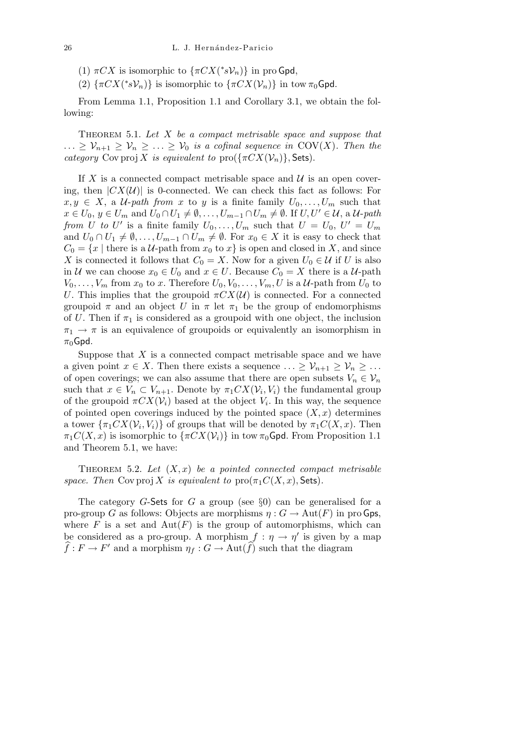(1)  $\pi C X$  is isomorphic to  $\{\pi C X(^*s\mathcal{V}_n)\}$  in pro Gpd,

(2)  $\{\pi C X(*s\mathcal{V}_n)\}$  is isomorphic to  $\{\pi C X(\mathcal{V}_n)\}$  in tow  $\pi_0 \mathsf{Gpd}$ .

From Lemma 1.1, Proposition 1.1 and Corollary 3.1, we obtain the following:

Theorem 5.1. *Let X be a compact metrisable space and suppose that*  $\ldots \geq V_{n+1} \geq V_n \geq \ldots \geq V_0$  *is a cofinal sequence in* COV(*X*). Then the *category* Cov proj *X is equivalent to* pro $({\{\pi C X(\mathcal{V}_n)\}}, \mathsf{Sets}).$ 

If  $X$  is a connected compact metrisable space and  $U$  is an open covering, then  $|CX(\mathcal{U})|$  is 0-connected. We can check this fact as follows: For  $x, y \in X$ , a *U*-*path from x* to *y* is a finite family  $U_0, \ldots, U_m$  such that  $x \in U_0, y \in U_m$  and  $U_0 \cap U_1 \neq \emptyset, \ldots, U_{m-1} \cap U_m \neq \emptyset$ . If  $U, U' \in \mathcal{U}$ , a  $\mathcal{U}$ -path *from U to U'* is a finite family  $U_0, \ldots, U_m$  such that  $U = U_0, U' = U_m$ and  $U_0 \cap U_1 \neq \emptyset, \ldots, U_{m-1} \cap U_m \neq \emptyset$ . For  $x_0 \in X$  it is easy to check that  $C_0 = \{x \mid \text{there is a } U\text{-path from } x_0 \text{ to } x\}$  is open and closed in *X*, and since *X* is connected it follows that  $C_0 = X$ . Now for a given  $U_0 \in \mathcal{U}$  if *U* is also in *U* we can choose  $x_0 \in U_0$  and  $x \in U$ . Because  $C_0 = X$  there is a *U*-path  $V_0, \ldots, V_m$  from  $x_0$  to  $x$ . Therefore  $U_0, V_0, \ldots, V_m, U$  is a  $\mathcal U$ -path from  $U_0$  to *U*. This implies that the groupoid  $\pi C X(\mathcal{U})$  is connected. For a connected groupoid  $\pi$  and an object *U* in  $\pi$  let  $\pi_1$  be the group of endomorphisms of *U*. Then if  $\pi_1$  is considered as a groupoid with one object, the inclusion  $\pi_1 \rightarrow \pi$  is an equivalence of groupoids or equivalently an isomorphism in  $\pi_0$ Gpd.

Suppose that *X* is a connected compact metrisable space and we have a given point  $x \in X$ . Then there exists a sequence  $\ldots \geq V_{n+1} \geq V_n \geq \ldots$ of open coverings; we can also assume that there are open subsets  $V_n \in V_n$ such that  $x \in V_n \subset V_{n+1}$ . Denote by  $\pi_1 C X(V_i, V_i)$  the fundamental group of the groupoid  $\pi C X(\mathcal{V}_i)$  based at the object  $V_i$ . In this way, the sequence of pointed open coverings induced by the pointed space  $(X, x)$  determines a tower  $\{\pi_1 C X(\mathcal{V}_i, V_i)\}$  of groups that will be denoted by  $\pi_1 C(X, x)$ . Then  $\pi_1 C(X, x)$  is isomorphic to  $\{\pi C X(\mathcal{V}_i)\}\$ in tow  $\pi_0 G$ pd. From Proposition 1.1 and Theorem 5.1, we have:

THEOREM 5.2. Let  $(X, x)$  be a pointed connected compact metrisable *space. Then* Cov proj *X is equivalent to*  $\text{pro}(\pi_1 C(X, x), \text{Sets})$ *.* 

The category *G*-Sets for *G* a group (see *§*0) can be generalised for a pro-group *G* as follows: Objects are morphisms  $\eta: G \to \text{Aut}(F)$  in pro Gps, where  $F$  is a set and  $Aut(F)$  is the group of automorphisms, which can be considered as a pro-group. A morphism  $f : \eta \to \eta'$  is given by a map  $\hat{f}: F \to F'$  and a morphism  $\eta_f: G \to \text{Aut}(\hat{f})$  such that the diagram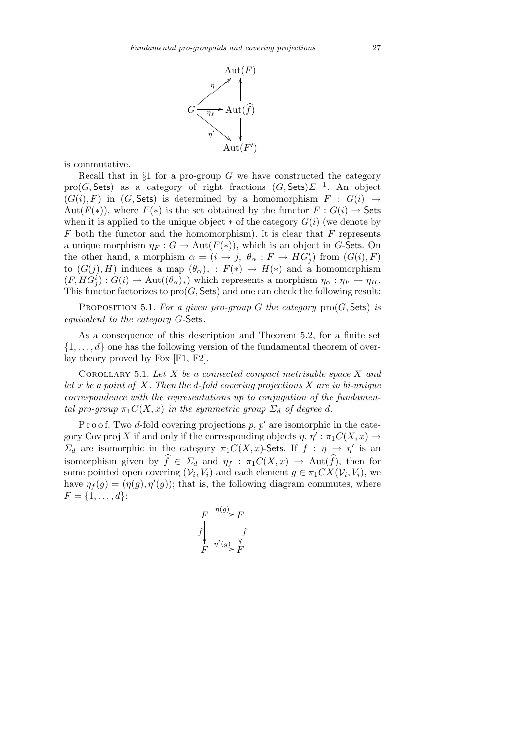

is commutative.

Recall that in *§*1 for a pro-group *G* we have constructed the category pro(*G,* Sets) as a category of right fractions (*G,* Sets)*Σ<sup>−</sup>*<sup>1</sup> . An object  $(G(i), F)$  in  $(G, Sets)$  is determined by a homomorphism  $F : G(i) \rightarrow$ Aut $(F(*))$ , where  $F(*)$  is the set obtained by the functor  $F: G(i) \to$  Sets when it is applied to the unique object  $*$  of the category  $G(i)$  (we denote by *F* both the functor and the homomorphism). It is clear that *F* represents a unique morphism  $\eta_F : G \to \text{Aut}(F(*))$ , which is an object in *G*-Sets. On the other hand, a morphism  $\alpha = (i \rightarrow j, \theta_{\alpha} : F \rightarrow HG^i_j)$  from  $(G(i), F)$ to  $(G(j), H)$  induces a map  $(\theta_{\alpha})_* : F(*) \to H(*)$  and a homomorphism  $(F, HG_j^i) : G(i) \to \text{Aut}((\theta_\alpha)_*)$  which represents a morphism  $\eta_\alpha : \eta_F \to \eta_H$ . This functor factorizes to  $\text{pro}(G, \mathsf{Sets})$  and one can check the following result:

PROPOSITION 5.1. For a given pro-group  $G$  the category  $\text{pro}(G, \text{Sets})$  is *equivalent to the category G-*Sets*.*

As a consequence of this description and Theorem 5.2, for a finite set  $\{1, \ldots, d\}$  one has the following version of the fundamental theorem of overlay theory proved by Fox [F1, F2].

Corollary 5.1. *Let X be a connected compact metrisable space X and let x be a point of X. Then the d-fold covering projections X are in bi-unique correspondence with the representations up to conjugation of the fundamental pro-group*  $\pi_1 C(X, x)$  *in the symmetric group*  $\Sigma_d$  *of degree d.* 

P r o o f. Two *d*-fold covering projections  $p, p'$  are isomorphic in the category Cov proj *X* if and only if the corresponding objects  $\eta$ ,  $\eta'$ :  $\pi_1 C(X, x) \rightarrow$ *Σ*<sup>*d*</sup> are isomorphic in the category  $\pi_1 C(X, x)$ -Sets. If  $f : \eta \to \eta'$  is an isomorphism given by  $\hat{f} \in \Sigma_d$  and  $\eta_f : \pi_1 C(X, x) \to \text{Aut}(\hat{f})$ , then for some pointed open covering  $(V_i, V_i)$  and each element  $g \in \pi_1CX(V_i, V_i)$ , we have  $\eta_f(g) = (\eta(g), \eta'(g))$ ; that is, the following diagram commutes, where  $F = \{1, \ldots, d\}$ :

$$
F \xrightarrow{\eta(g)} F
$$
  

$$
\hat{f} \qquad \qquad \downarrow \hat{f}
$$
  

$$
F \xrightarrow{\eta'(g)} F
$$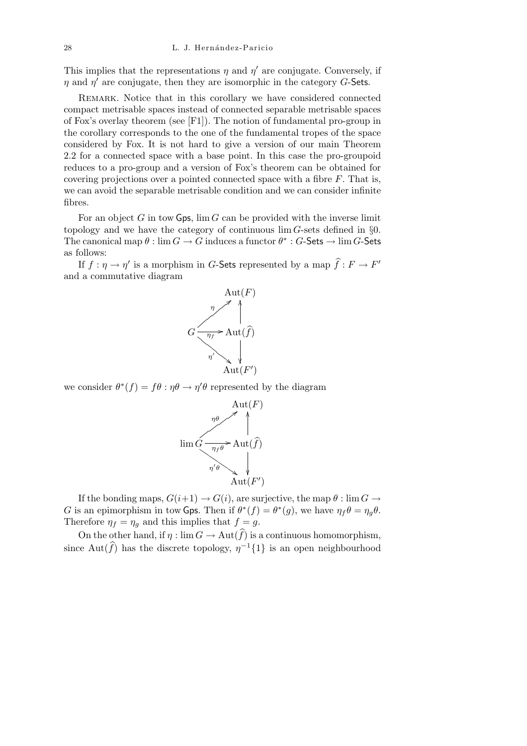This implies that the representations  $\eta$  and  $\eta'$  are conjugate. Conversely, if *η* and  $\eta'$  are conjugate, then they are isomorphic in the category *G*-Sets.

REMARK. Notice that in this corollary we have considered connected compact metrisable spaces instead of connected separable metrisable spaces of Fox's overlay theorem (see [F1]). The notion of fundamental pro-group in the corollary corresponds to the one of the fundamental tropes of the space considered by Fox. It is not hard to give a version of our main Theorem 2.2 for a connected space with a base point. In this case the pro-groupoid reduces to a pro-group and a version of Fox's theorem can be obtained for covering projections over a pointed connected space with a fibre *F*. That is, we can avoid the separable metrisable condition and we can consider infinite fibres.

For an object *G* in tow Gps, lim *G* can be provided with the inverse limit topology and we have the category of continuous lim *G*-sets defined in *§*0. The canonical map  $\theta$  :  $\lim G \to G$  induces a functor  $\theta^* : G$ -Sets  $\to \lim G$ -Sets as follows:

If  $f: \eta \to \eta'$  is a morphism in *G*-Sets represented by a map  $\hat{f}: F \to F'$ and a commutative diagram



we consider  $\theta^*(f) = f\theta : \eta\theta \to \eta'\theta$  represented by the diagram



If the bonding maps,  $G(i+1) \rightarrow G(i)$ , are surjective, the map  $\theta$  : lim  $G \rightarrow$ *G* is an epimorphism in tow Gps. Then if  $\theta^*(f) = \theta^*(g)$ , we have  $\eta_f \theta = \eta_g \theta$ . Therefore  $\eta_f = \eta_g$  and this implies that  $f = g$ .

On the other hand, if  $\eta : \lim G \to \text{Aut}(\widehat{f})$  is a continuous homomorphism, since  $Aut(\widehat{f})$  has the discrete topology,  $\eta^{-1}{1}$  is an open neighbourhood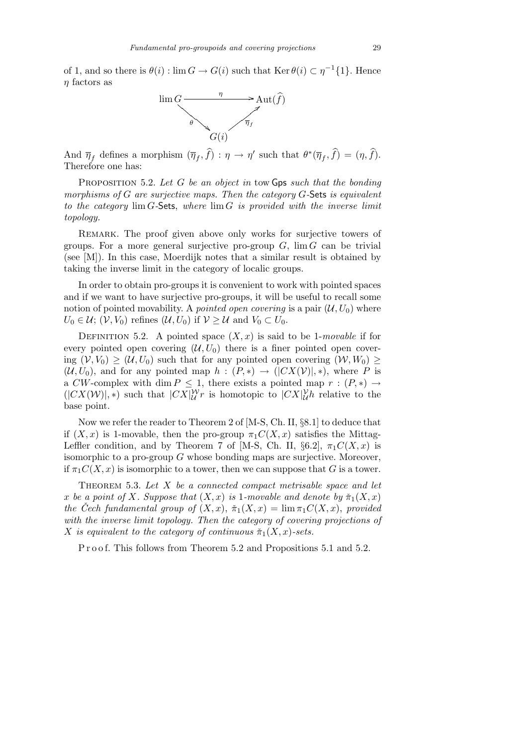of 1, and so there is  $\theta(i)$ :  $\lim G \to G(i)$  such that  $\text{Ker } \theta(i) \subset \eta^{-1}\{1\}$ . Hence *η* factors as



And  $\overline{\eta}_f$  defines a morphism  $(\overline{\eta}_f, \hat{f}) : \eta \to \eta'$  such that  $\theta^*(\overline{\eta}_f, \hat{f}) = (\eta, \hat{f})$ . Therefore one has:

Proposition 5.2. *Let G be an object in* tow Gps *such that the bonding morphisms of G are surjective maps. Then the category G-*Sets *is equivalent to the category* lim *G-*Sets, *where* lim *G is provided with the inverse limit topology.*

REMARK. The proof given above only works for surjective towers of groups. For a more general surjective pro-group  $G$ ,  $\lim G$  can be trivial (see [M]). In this case, Moerdijk notes that a similar result is obtained by taking the inverse limit in the category of localic groups.

In order to obtain pro-groups it is convenient to work with pointed spaces and if we want to have surjective pro-groups, it will be useful to recall some notion of pointed movability. A *pointed open covering* is a pair  $(\mathcal{U}, U_0)$  where  $U_0 \in \mathcal{U}$ ;  $(\mathcal{V}, V_0)$  refines  $(\mathcal{U}, U_0)$  if  $\mathcal{V} \geq \mathcal{U}$  and  $V_0 \subset U_0$ .

DEFINITION 5.2. A pointed space  $(X, x)$  is said to be 1-*movable* if for every pointed open covering  $(U, U_0)$  there is a finer pointed open covering  $(V, V_0) \geq (U, U_0)$  such that for any pointed open covering  $(W, W_0)$  $(U, U_0)$ , and for any pointed map  $h : (P, *) \rightarrow (|CX(V)|, *)$ , where P is a *CW*-complex with dim  $P \leq 1$ , there exists a pointed map  $r : (P, *) \rightarrow$  $(|CX(W)|, *)$  such that  $|CX|_{\mathcal{U}}^{\mathcal{W}}r$  is homotopic to  $|CX|_{\mathcal{U}}^{\mathcal{V}}h$  relative to the base point.

Now we refer the reader to Theorem 2 of [M-S, Ch. II, *§*8.1] to deduce that if  $(X, x)$  is 1-movable, then the pro-group  $\pi_1 C(X, x)$  satisfies the Mittag-Leffler condition, and by Theorem 7 of [M-S, Ch. II,  $\S6.2$ ],  $\pi_1 C(X, x)$  is isomorphic to a pro-group *G* whose bonding maps are surjective. Moreover, if  $\pi_1 C(X, x)$  is isomorphic to a tower, then we can suppose that *G* is a tower.

Theorem 5.3. *Let X be a connected compact metrisable space and let x* be a point of *X. Suppose that*  $(X, x)$  *is* 1*-movable and denote by*  $\tilde{\pi}_1(X, x)$ *the Čech fundamental group of*  $(X, x)$ ,  $\check{\pi}_1(X, x) = \lim \pi_1 C(X, x)$ , *provided with the inverse limit topology. Then the category of covering projections of X is equivalent to the category of continuous*  $\check{\pi}_1(X, x)$ *-sets.* 

P r o o f. This follows from Theorem 5.2 and Propositions 5.1 and 5.2.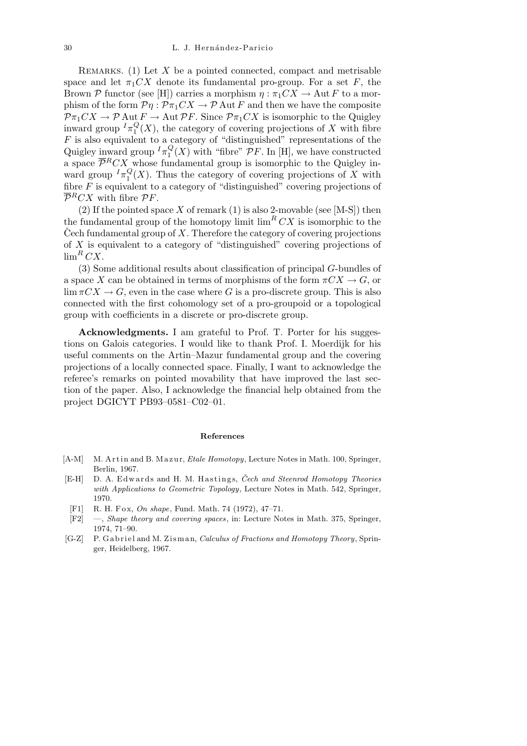Remarks. (1) Let *X* be a pointed connected, compact and metrisable space and let  $\pi_1 C X$  denote its fundamental pro-group. For a set *F*, the Brown *P* functor (see [H]) carries a morphism  $\eta : \pi_1 C X \to \text{Aut } F$  to a morphism of the form  $\mathcal{P}\eta$ :  $\mathcal{P}\pi_1 CX \to \mathcal{P}$  Aut *F* and then we have the composite  $\mathcal{P}\pi_1CX \to \mathcal{P}$  Aut  $F \to \text{Aut } \mathcal{P}F$ . Since  $\mathcal{P}\pi_1CX$  is isomorphic to the Quigley inward group  $^I\pi_1^Q$  $\binom{Q}{1}(X)$ , the category of covering projections of X with fibre *F* is also equivalent to a category of "distinguished" representations of the Quigley inward group *<sup>I</sup>π Q*  $\binom{Q}{1}(X)$  with "fibre" *PF*. In [H], we have constructed a space  $\overline{\mathcal{P}}^R C X$  whose fundamental group is isomorphic to the Quigley inward group  $^I\pi_1^Q$  $\binom{Q}{1}(X)$ . Thus the category of covering projections of X with fibre *F* is equivalent to a category of "distinguished" covering projections of  $\overline{\mathcal{P}}^R C X$  with fibre  $\mathcal{P} F$ .

 $(2)$  If the pointed space *X* of remark  $(1)$  is also 2-movable (see [M-S]) then the fundamental group of the homotopy limit  $\lim^R CX$  is isomorphic to the Cech fundamental group of  $X$ . Therefore the category of covering projections of *X* is equivalent to a category of "distinguished" covering projections of  $\lim^R CX$ .

(3) Some additional results about classification of principal *G*-bundles of a space *X* can be obtained in terms of morphisms of the form  $\pi C X \rightarrow G$ , or  $\lim \pi C X \to G$ , even in the case where *G* is a pro-discrete group. This is also connected with the first cohomology set of a pro-groupoid or a topological group with coefficients in a discrete or pro-discrete group.

**Acknowledgments.** I am grateful to Prof. T. Porter for his suggestions on Galois categories. I would like to thank Prof. I. Moerdijk for his useful comments on the Artin–Mazur fundamental group and the covering projections of a locally connected space. Finally, I want to acknowledge the referee's remarks on pointed movability that have improved the last section of the paper. Also, I acknowledge the financial help obtained from the project DGICYT PB93–0581–C02–01.

## **References**

- [A-M] M. Artin and B. Mazur, *Etale Homotopy*, Lecture Notes in Math. 100, Springer, Berlin, 1967.
- [E-H] D. A. Edwards and H. M. Hastings, *Čech and Steenrod Homotopy Theories with Applications to Geometric Topology*, Lecture Notes in Math. 542, Springer, 1970.
- [F1] R. H. Fox, *On shape*, Fund. Math. 74 (1972), 47-71.
- [F2] —, *Shape theory and covering spaces*, in: Lecture Notes in Math. 375, Springer, 1974, 71–90.
- [G-Z] P. Gabriel and M. Zisman, *Calculus of Fractions and Homotopy Theory*, Springer, Heidelberg, 1967.